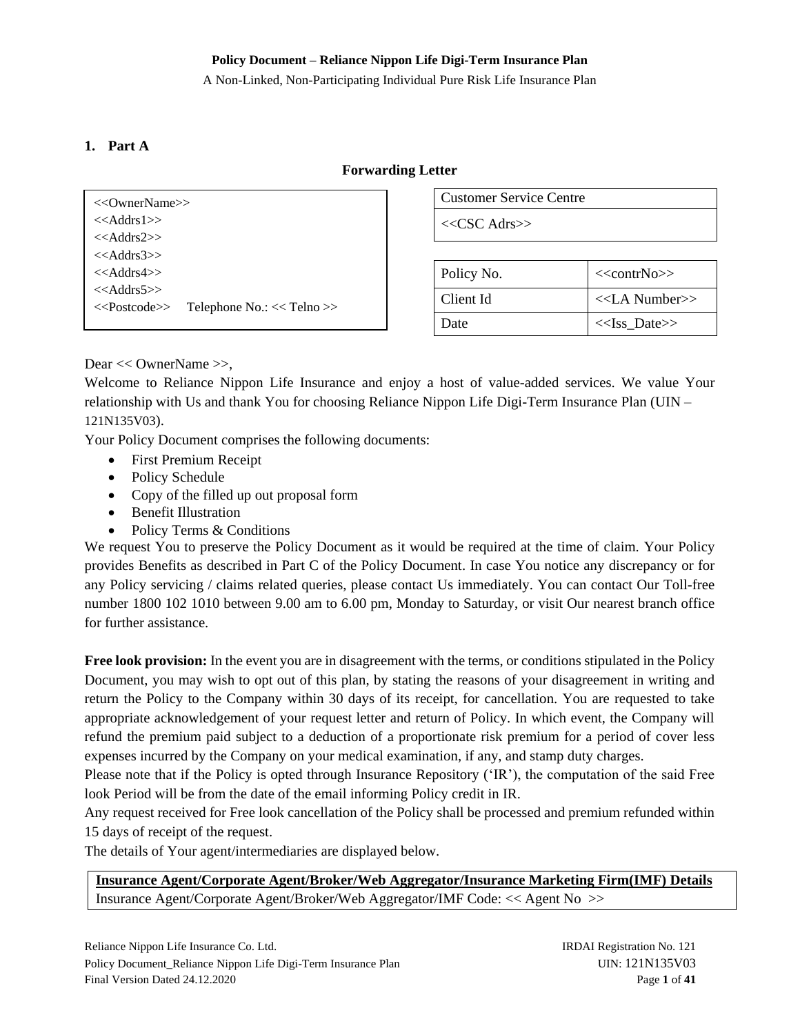A Non-Linked, Non-Participating Individual Pure Risk Life Insurance Plan

### <span id="page-0-0"></span>**1. Part A**

#### **Forwarding Letter**

| <<0wnerName>>    |                                                                    |
|------------------|--------------------------------------------------------------------|
| $<<$ Addrs1>>    |                                                                    |
| $<<$ Addrs2>>    |                                                                    |
| $<<$ Addrs3>>    |                                                                    |
| $<<$ Addrs4 $>>$ |                                                                    |
| $<<$ Addrs5 $>>$ |                                                                    |
|                  | < <postcode>&gt; Telephone No.: &lt;&lt; Telno &gt;&gt;</postcode> |
|                  |                                                                    |

Customer Service Centre

<<CSC Adrs>>

| Policy No. | $<<$ contrNo>>      |
|------------|---------------------|
| Client Id  | $<<$ LA Number $>>$ |
| Date       | $<<$ Iss Date>>     |

Dear << OwnerName >>,

Welcome to Reliance Nippon Life Insurance and enjoy a host of value-added services. We value Your relationship with Us and thank You for choosing Reliance Nippon Life Digi-Term Insurance Plan (UIN – 121N135V03).

Your Policy Document comprises the following documents:

- First Premium Receipt
- Policy Schedule
- Copy of the filled up out proposal form
- Benefit Illustration
- Policy Terms & Conditions

We request You to preserve the Policy Document as it would be required at the time of claim. Your Policy provides Benefits as described in Part C of the Policy Document. In case You notice any discrepancy or for any Policy servicing / claims related queries, please contact Us immediately. You can contact Our Toll-free number 1800 102 1010 between 9.00 am to 6.00 pm, Monday to Saturday, or visit Our nearest branch office for further assistance.

**Free look provision:** In the event you are in disagreement with the terms, or conditions stipulated in the Policy Document, you may wish to opt out of this plan, by stating the reasons of your disagreement in writing and return the Policy to the Company within 30 days of its receipt, for cancellation. You are requested to take appropriate acknowledgement of your request letter and return of Policy. In which event, the Company will refund the premium paid subject to a deduction of a proportionate risk premium for a period of cover less expenses incurred by the Company on your medical examination, if any, and stamp duty charges.

Please note that if the Policy is opted through Insurance Repository ('IR'), the computation of the said Free look Period will be from the date of the email informing Policy credit in IR.

Any request received for Free look cancellation of the Policy shall be processed and premium refunded within 15 days of receipt of the request.

The details of Your agent/intermediaries are displayed below.

**Insurance Agent/Corporate Agent/Broker/Web Aggregator/Insurance Marketing Firm(IMF) Details** Insurance Agent/Corporate Agent/Broker/Web Aggregator/IMF Code: << Agent No >>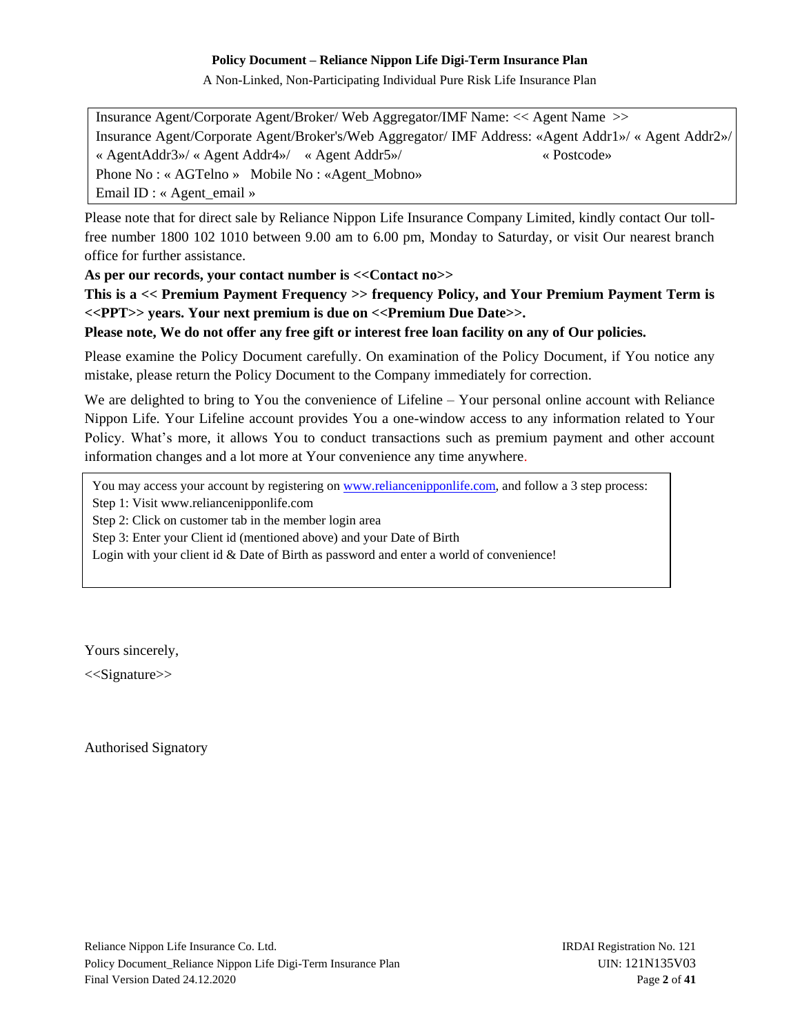A Non-Linked, Non-Participating Individual Pure Risk Life Insurance Plan

Insurance Agent/Corporate Agent/Broker/ Web Aggregator/IMF Name: << Agent Name >> Insurance Agent/Corporate Agent/Broker's/Web Aggregator/ IMF Address: «Agent Addr1»/ « Agent Addr2»/ « AgentAddr3»/ « Agent Addr4»/ « Agent Addr5»/ « Postcode» Phone No : « AGTelno » Mobile No : «Agent\_Mobno» Email ID : « Agent\_email »

Please note that for direct sale by Reliance Nippon Life Insurance Company Limited, kindly contact Our tollfree number 1800 102 1010 between 9.00 am to 6.00 pm, Monday to Saturday, or visit Our nearest branch office for further assistance.

**As per our records, your contact number is <<Contact no>>**

**This is a << Premium Payment Frequency >> frequency Policy, and Your Premium Payment Term is <<PPT>> years. Your next premium is due on <<Premium Due Date>>.** 

**Please note, We do not offer any free gift or interest free loan facility on any of Our policies.**

Please examine the Policy Document carefully. On examination of the Policy Document, if You notice any mistake, please return the Policy Document to the Company immediately for correction.

We are delighted to bring to You the convenience of Lifeline – Your personal online account with Reliance Nippon Life. Your Lifeline account provides You a one-window access to any information related to Your Policy. What's more, it allows You to conduct transactions such as premium payment and other account information changes and a lot more at Your convenience any time anywhere.

You may access your account by registering on [www.reliancenipponlife.com,](http://www.reliancenipponlife.com/) and follow a 3 step process:

Step 1: Visit www.reliancenipponlife.com

Step 2: Click on customer tab in the member login area

Step 3: Enter your Client id (mentioned above) and your Date of Birth

Login with your client id & Date of Birth as password and enter a world of convenience!

Yours sincerely,

<<Signature>>

Authorised Signatory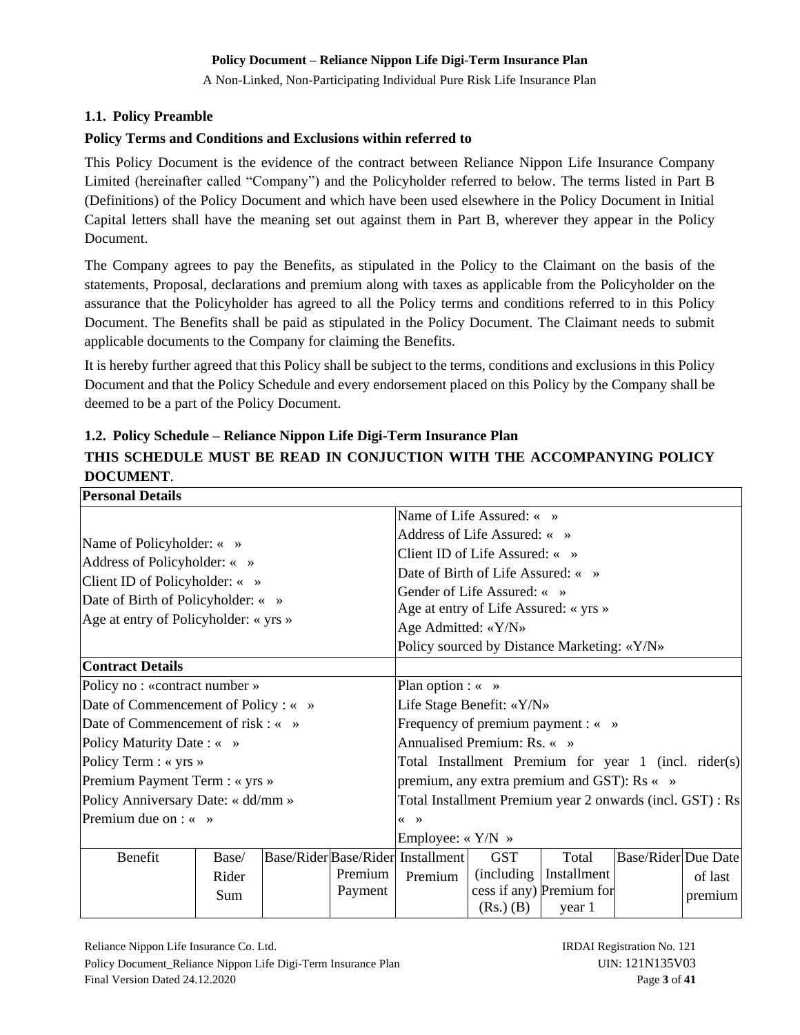A Non-Linked, Non-Participating Individual Pure Risk Life Insurance Plan

### <span id="page-2-0"></span>**1.1. Policy Preamble**

### **Policy Terms and Conditions and Exclusions within referred to**

This Policy Document is the evidence of the contract between Reliance Nippon Life Insurance Company Limited (hereinafter called "Company") and the Policyholder referred to below. The terms listed in Part B (Definitions) of the Policy Document and which have been used elsewhere in the Policy Document in Initial Capital letters shall have the meaning set out against them in Part B, wherever they appear in the Policy Document.

The Company agrees to pay the Benefits, as stipulated in the Policy to the Claimant on the basis of the statements, Proposal, declarations and premium along with taxes as applicable from the Policyholder on the assurance that the Policyholder has agreed to all the Policy terms and conditions referred to in this Policy Document. The Benefits shall be paid as stipulated in the Policy Document. The Claimant needs to submit applicable documents to the Company for claiming the Benefits.

It is hereby further agreed that this Policy shall be subject to the terms, conditions and exclusions in this Policy Document and that the Policy Schedule and every endorsement placed on this Policy by the Company shall be deemed to be a part of the Policy Document.

# <span id="page-2-1"></span>**1.2. Policy Schedule – Reliance Nippon Life Digi-Term Insurance Plan THIS SCHEDULE MUST BE READ IN CONJUCTION WITH THE ACCOMPANYING POLICY DOCUMENT**.

| <b>Personal Details</b>                                                                                     |       |  |                                                               |                                                           |                                       |                                                      |                            |         |
|-------------------------------------------------------------------------------------------------------------|-------|--|---------------------------------------------------------------|-----------------------------------------------------------|---------------------------------------|------------------------------------------------------|----------------------------|---------|
| Name of Policyholder: « »<br>Address of Policyholder: « »<br>Client ID of Policyholder: $\langle \rangle$ » |       |  | Name of Life Assured: « »                                     |                                                           |                                       |                                                      |                            |         |
|                                                                                                             |       |  | Address of Life Assured: « »                                  |                                                           |                                       |                                                      |                            |         |
|                                                                                                             |       |  |                                                               | Client ID of Life Assured: « »                            |                                       |                                                      |                            |         |
|                                                                                                             |       |  |                                                               | Date of Birth of Life Assured: « »                        |                                       |                                                      |                            |         |
| Date of Birth of Policyholder: « »                                                                          |       |  |                                                               |                                                           | Gender of Life Assured: « »           |                                                      |                            |         |
| Age at entry of Policyholder: « yrs »                                                                       |       |  |                                                               |                                                           | Age at entry of Life Assured: « yrs » |                                                      |                            |         |
|                                                                                                             |       |  |                                                               | Age Admitted: «Y/N»                                       |                                       |                                                      |                            |         |
|                                                                                                             |       |  |                                                               |                                                           |                                       | Policy sourced by Distance Marketing: «Y/N»          |                            |         |
| <b>Contract Details</b>                                                                                     |       |  |                                                               |                                                           |                                       |                                                      |                            |         |
| Policy no: «contract number»                                                                                |       |  | Plan option : $\langle \rangle$ »                             |                                                           |                                       |                                                      |                            |         |
| Date of Commencement of Policy : « »                                                                        |       |  |                                                               | Life Stage Benefit: «Y/N»                                 |                                       |                                                      |                            |         |
| Date of Commencement of risk $: \leftarrow \rightarrow$                                                     |       |  |                                                               |                                                           |                                       | Frequency of premium payment : « »                   |                            |         |
| Policy Maturity Date : « »                                                                                  |       |  |                                                               |                                                           | Annualised Premium: Rs. « »           |                                                      |                            |         |
| Policy Term : « yrs »                                                                                       |       |  |                                                               |                                                           |                                       | Total Installment Premium for year 1 (incl. rider(s) |                            |         |
| Premium Payment Term : « yrs »                                                                              |       |  |                                                               | premium, any extra premium and GST): Rs « »               |                                       |                                                      |                            |         |
| Policy Anniversary Date: « dd/mm »                                                                          |       |  |                                                               | Total Installment Premium year 2 onwards (incl. GST) : Rs |                                       |                                                      |                            |         |
| Premium due on $: \times \rightarrow$                                                                       |       |  | $\left\langle \left\langle \quad \right\rangle \right\rangle$ |                                                           |                                       |                                                      |                            |         |
|                                                                                                             |       |  | Employee: $\langle$ Y/N $\rangle$                             |                                                           |                                       |                                                      |                            |         |
| Benefit                                                                                                     | Base/ |  |                                                               | Base/Rider Base/Rider Installment                         | <b>GST</b>                            | Total                                                | <b>Base/Rider</b> Due Date |         |
|                                                                                                             | Rider |  | Premium                                                       | Premium                                                   |                                       | (including   Installment                             |                            | of last |
|                                                                                                             | Sum   |  | Payment                                                       |                                                           |                                       | cess if any) Premium for                             |                            | premium |
|                                                                                                             |       |  |                                                               |                                                           | $(Rs.)$ $(B)$                         | year 1                                               |                            |         |

Reliance Nippon Life Insurance Co. Ltd. **IRDAI Registration No. 121** Policy Document\_Reliance Nippon Life Digi-Term Insurance Plan UIN: 121N135V03 Final Version Dated 24.12.2020 Page **3** of 41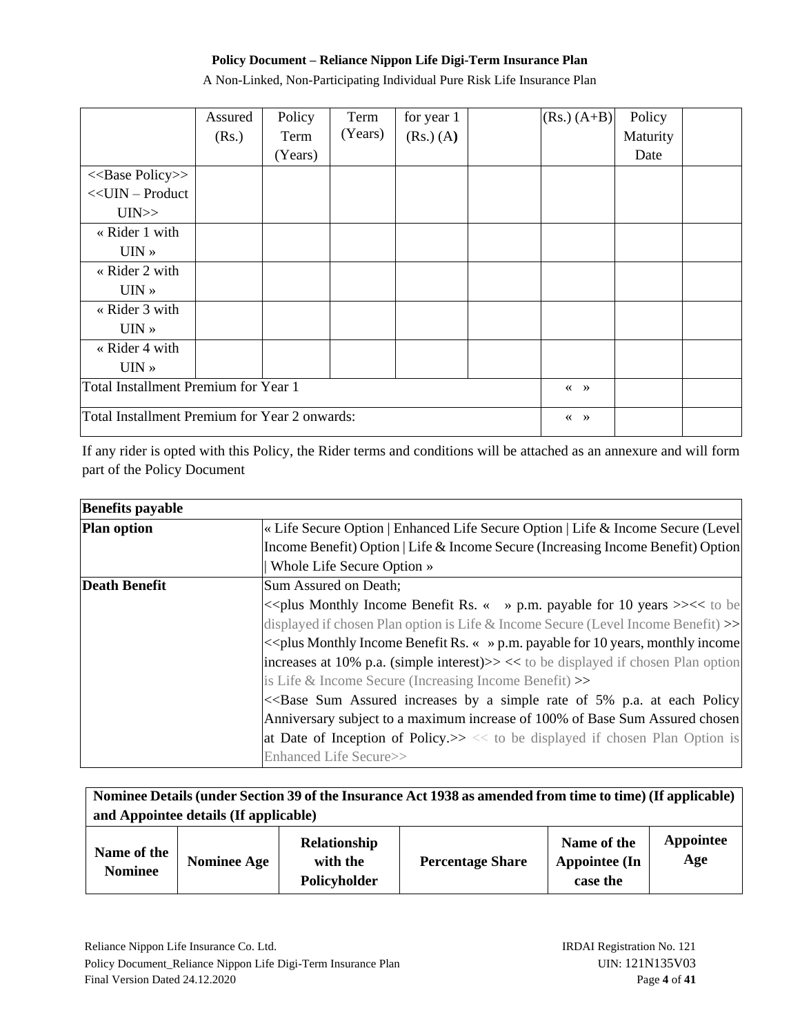A Non-Linked, Non-Participating Individual Pure Risk Life Insurance Plan

|                                               | Assured | Policy  | Term    | for year 1    |  | $(Rs.) (A+B)$                                                 | Policy   |  |
|-----------------------------------------------|---------|---------|---------|---------------|--|---------------------------------------------------------------|----------|--|
|                                               | (Rs.)   | Term    | (Years) | $(Rs.)$ $(A)$ |  |                                                               | Maturity |  |
|                                               |         | (Years) |         |               |  |                                                               | Date     |  |
| < <base policy=""/> >                         |         |         |         |               |  |                                                               |          |  |
| $<<$ UIN – Product                            |         |         |         |               |  |                                                               |          |  |
| UIN>>                                         |         |         |         |               |  |                                                               |          |  |
| « Rider 1 with                                |         |         |         |               |  |                                                               |          |  |
| $UIN \rightarrow$                             |         |         |         |               |  |                                                               |          |  |
| « Rider 2 with                                |         |         |         |               |  |                                                               |          |  |
| $UIN \rightarrow$                             |         |         |         |               |  |                                                               |          |  |
| « Rider 3 with                                |         |         |         |               |  |                                                               |          |  |
| $UIN \times$                                  |         |         |         |               |  |                                                               |          |  |
| « Rider 4 with                                |         |         |         |               |  |                                                               |          |  |
| $UIN \rightarrow$                             |         |         |         |               |  |                                                               |          |  |
| Total Installment Premium for Year 1          |         |         |         |               |  | $\left\langle \left\langle \quad \right\rangle \right\rangle$ |          |  |
| Total Installment Premium for Year 2 onwards: |         |         |         |               |  | $\left\langle \left\langle \quad \right\rangle \right\rangle$ |          |  |

If any rider is opted with this Policy, the Rider terms and conditions will be attached as an annexure and will form part of the Policy Document

| <b>Benefits payable</b> |                                                                                                                          |
|-------------------------|--------------------------------------------------------------------------------------------------------------------------|
| <b>Plan option</b>      | « Life Secure Option   Enhanced Life Secure Option   Life & Income Secure (Level)                                        |
|                         | Income Benefit) Option   Life & Income Secure (Increasing Income Benefit) Option                                         |
|                         | Whole Life Secure Option »                                                                                               |
| <b>Death Benefit</b>    | Sum Assured on Death;                                                                                                    |
|                         | << plus Monthly Income Benefit Rs. « » p.m. payable for 10 years >><< to be                                              |
|                         | displayed if chosen Plan option is Life $\&$ Income Secure (Level Income Benefit) $\gg$                                  |
|                         | $\ll$ plus Monthly Income Benefit Rs. « » p.m. payable for 10 years, monthly income                                      |
|                         | increases at 10% p.a. (simple interest) $>>$ << to be displayed if chosen Plan option                                    |
|                         | is Life $\&$ Income Secure (Increasing Income Benefit) $\gg$                                                             |
|                         | < <base 5%="" a="" assured="" at="" by="" each="" increases="" of="" p.a.="" policy<="" rate="" simple="" sum="" td=""/> |
|                         | Anniversary subject to a maximum increase of 100% of Base Sum Assured chosen                                             |
|                         | at Date of Inception of Policy. $\gg \ll \infty$ to be displayed if chosen Plan Option is                                |
|                         | Enhanced Life Secure>>                                                                                                   |

| Nominee Details (under Section 39 of the Insurance Act 1938 as amended from time to time) (If applicable)<br>and Appointee details (If applicable) |                    |                                          |                         |                                                 |                  |
|----------------------------------------------------------------------------------------------------------------------------------------------------|--------------------|------------------------------------------|-------------------------|-------------------------------------------------|------------------|
| Name of the<br><b>Nominee</b>                                                                                                                      | <b>Nominee Age</b> | Relationship<br>with the<br>Policyholder | <b>Percentage Share</b> | Name of the<br><b>Appointee (In</b><br>case the | Appointee<br>Age |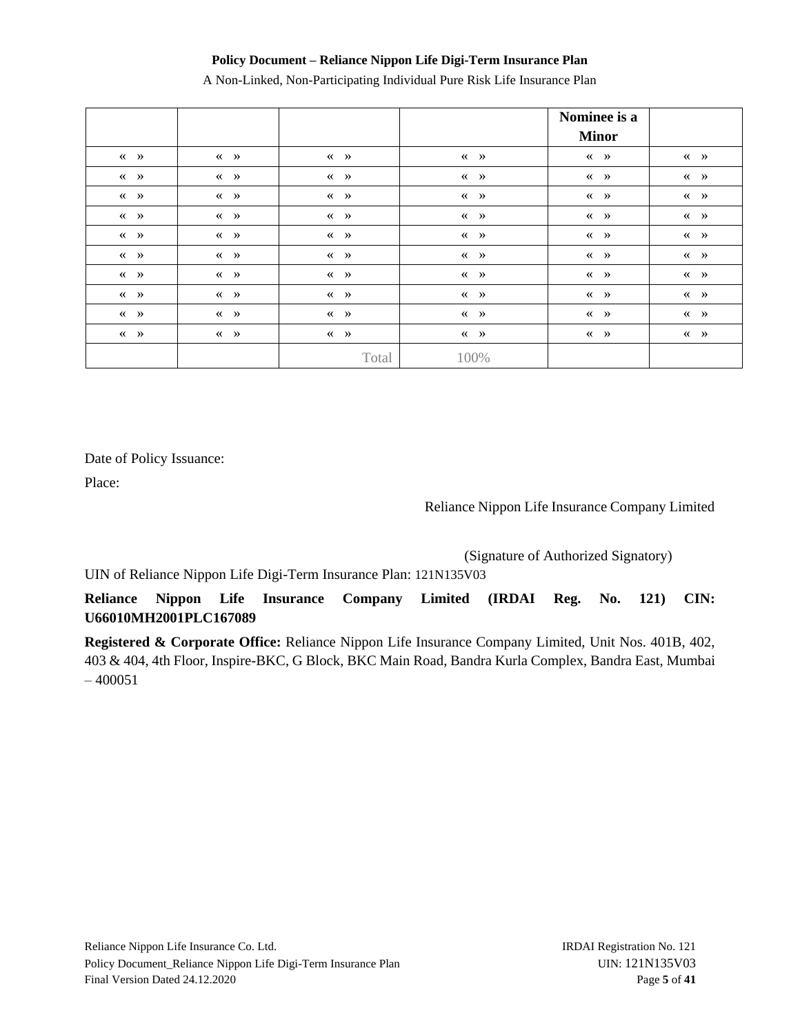A Non-Linked, Non-Participating Individual Pure Risk Life Insurance Plan

|                                                               |                                        |                                                               |                                                               | Nominee is a<br><b>Minor</b>                                  |                                                               |
|---------------------------------------------------------------|----------------------------------------|---------------------------------------------------------------|---------------------------------------------------------------|---------------------------------------------------------------|---------------------------------------------------------------|
| $\langle \langle \rangle \rangle$                             | $\langle \langle \rangle \rangle$      | $\langle \langle \rangle \rangle$                             | $\langle \langle \rangle \rangle$                             | $\left\langle \left\langle \quad \right\rangle \right\rangle$ | $\ll$ »                                                       |
| $\left\langle \left\langle \quad \right\rangle \right\rangle$ | $\langle \langle \rangle \rangle$      | $\left\langle \left\langle \quad \right\rangle \right\rangle$ | $\langle \langle \rangle \rangle$                             | $\langle \langle \rangle \rangle$                             | $\left\langle \left\langle \quad \right\rangle \right\rangle$ |
| $\langle \langle \rangle \rangle$                             | $\ll$ »                                | $\left\langle \left\langle \quad \right\rangle \right\rangle$ | $\langle \langle \rangle \rangle$                             | $\ll$ »                                                       | $\langle \langle \rangle \rangle$                             |
| $\langle \langle \rangle \rangle$                             | $\langle \langle \rangle \rangle$      | $\langle \langle \rangle \rangle$                             | $\langle \langle \quad \rangle \rangle$                       | $\ll$ »                                                       | $\langle \langle \rangle \rangle$                             |
| $\left\langle \left\langle \quad \right\rangle \right\rangle$ | $\ll$ »                                | $\left\langle \left\langle \quad \right\rangle \right\rangle$ | $\left\langle \left\langle \right\rangle \right\rangle$       | $\ll$ »                                                       | $\left\langle \left\langle \quad \right\rangle \right\rangle$ |
| $\langle \langle \rangle \rangle$                             | $\langle \langle \rangle \rangle$      | $\langle \langle \rangle \rangle$                             | $\langle \langle \rangle \rangle$                             | $\langle \langle \rangle \rangle$                             | $\langle \langle \rangle \rangle$                             |
| $\langle \langle \rangle \rangle$                             | $\langle \langle \rangle \rangle$      | $\left\langle \left\langle \quad \right\rangle \right\rangle$ | $\langle \langle \rangle \rangle$                             | $\langle \langle \rangle \rangle$                             | $\left\langle \left\langle \quad \right\rangle \right\rangle$ |
| $\left\langle \left\langle \quad \right\rangle \right\rangle$ | $\langle\langle \quad \rangle \rangle$ | $\left\langle \left\langle \quad \right\rangle \right\rangle$ | $\left\langle \left\langle \quad \right\rangle \right\rangle$ | $\langle \langle \rangle \rangle$                             | $\left\langle \left\langle \quad \right\rangle \right\rangle$ |
| $\langle \langle \rangle \rangle$                             | $\langle \langle \rangle \rangle$      | $\left\langle \left\langle \quad \right\rangle \right\rangle$ | $\langle \langle \rangle \rangle$                             | $\langle \langle \rangle \rangle$                             | $\langle \langle \rangle \rangle$                             |
| $\ll$ $\quad$ $\gg$                                           | $\langle \langle \rangle \rangle$      | $\left\langle \left\langle \quad \right\rangle \right\rangle$ | $\left\langle \left\langle \quad \right\rangle \right\rangle$ | $\left\langle \left\langle \quad \right\rangle \right\rangle$ | $\left\langle \left\langle \quad \right\rangle \right\rangle$ |
|                                                               |                                        | Total                                                         | 100%                                                          |                                                               |                                                               |

Date of Policy Issuance:

Place:

Reliance Nippon Life Insurance Company Limited

(Signature of Authorized Signatory)

UIN of Reliance Nippon Life Digi-Term Insurance Plan: 121N135V03

**Reliance Nippon Life Insurance Company Limited (IRDAI Reg. No. 121) CIN: U66010MH2001PLC167089**

**Registered & Corporate Office:** Reliance Nippon Life Insurance Company Limited, Unit Nos. 401B, 402, 403 & 404, 4th Floor, Inspire-BKC, G Block, BKC Main Road, Bandra Kurla Complex, Bandra East, Mumbai  $-400051$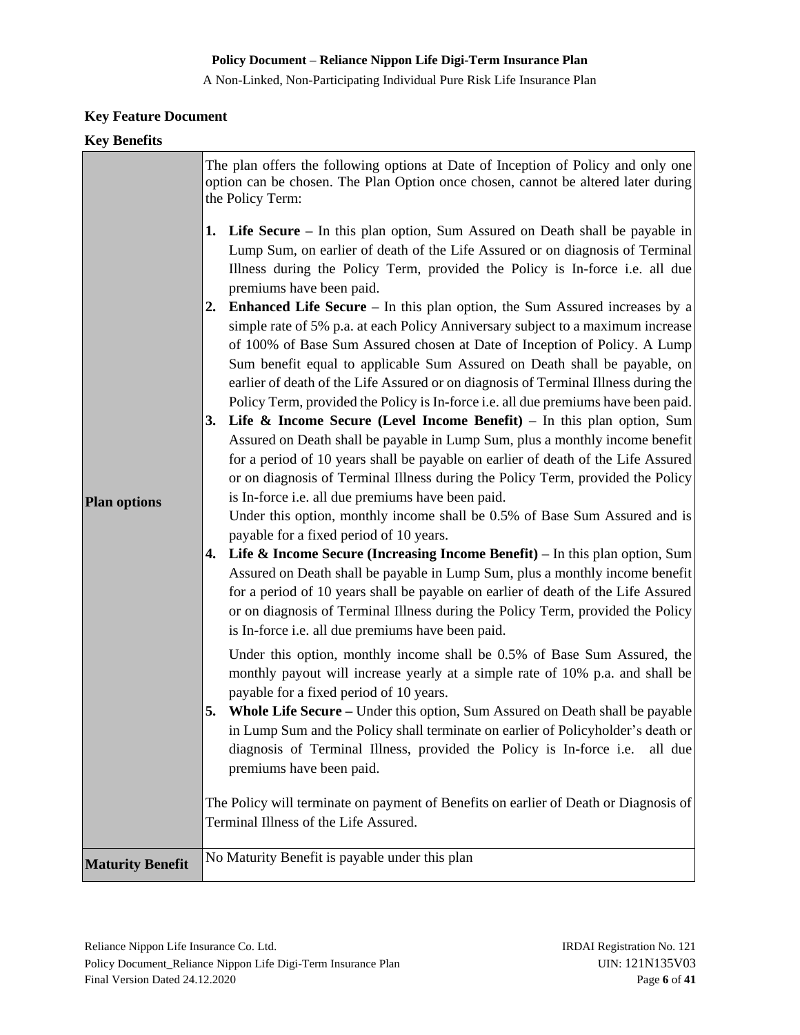A Non-Linked, Non-Participating Individual Pure Risk Life Insurance Plan

# **Key Feature Document**

| <b>Key Benefits</b>     |                                                                                                                                                                                                                                                                                                                                                                                                                                                                                                                                                                                                                                                                                                                                                                                                                                                                                                                                                                                                                                                                                                                                                                                                                                                                                                                                                                                                                                                                                                                                                                                                                                                                                                                                                                                                                                                                                                                                                                                                                                                                                                                                                                                                                                                                                                                                                                      |
|-------------------------|----------------------------------------------------------------------------------------------------------------------------------------------------------------------------------------------------------------------------------------------------------------------------------------------------------------------------------------------------------------------------------------------------------------------------------------------------------------------------------------------------------------------------------------------------------------------------------------------------------------------------------------------------------------------------------------------------------------------------------------------------------------------------------------------------------------------------------------------------------------------------------------------------------------------------------------------------------------------------------------------------------------------------------------------------------------------------------------------------------------------------------------------------------------------------------------------------------------------------------------------------------------------------------------------------------------------------------------------------------------------------------------------------------------------------------------------------------------------------------------------------------------------------------------------------------------------------------------------------------------------------------------------------------------------------------------------------------------------------------------------------------------------------------------------------------------------------------------------------------------------------------------------------------------------------------------------------------------------------------------------------------------------------------------------------------------------------------------------------------------------------------------------------------------------------------------------------------------------------------------------------------------------------------------------------------------------------------------------------------------------|
|                         | The plan offers the following options at Date of Inception of Policy and only one<br>option can be chosen. The Plan Option once chosen, cannot be altered later during<br>the Policy Term:                                                                                                                                                                                                                                                                                                                                                                                                                                                                                                                                                                                                                                                                                                                                                                                                                                                                                                                                                                                                                                                                                                                                                                                                                                                                                                                                                                                                                                                                                                                                                                                                                                                                                                                                                                                                                                                                                                                                                                                                                                                                                                                                                                           |
| <b>Plan options</b>     | <b>1.</b> Life Secure – In this plan option, Sum Assured on Death shall be payable in<br>Lump Sum, on earlier of death of the Life Assured or on diagnosis of Terminal<br>Illness during the Policy Term, provided the Policy is In-force i.e. all due<br>premiums have been paid.<br>Enhanced Life Secure - In this plan option, the Sum Assured increases by a<br>2.<br>simple rate of 5% p.a. at each Policy Anniversary subject to a maximum increase<br>of 100% of Base Sum Assured chosen at Date of Inception of Policy. A Lump<br>Sum benefit equal to applicable Sum Assured on Death shall be payable, on<br>earlier of death of the Life Assured or on diagnosis of Terminal Illness during the<br>Policy Term, provided the Policy is In-force <i>i.e.</i> all due premiums have been paid.<br>3. Life $\&$ Income Secure (Level Income Benefit) – In this plan option, Sum<br>Assured on Death shall be payable in Lump Sum, plus a monthly income benefit<br>for a period of 10 years shall be payable on earlier of death of the Life Assured<br>or on diagnosis of Terminal Illness during the Policy Term, provided the Policy<br>is In-force i.e. all due premiums have been paid.<br>Under this option, monthly income shall be 0.5% of Base Sum Assured and is<br>payable for a fixed period of 10 years.<br>Life $\&$ Income Secure (Increasing Income Benefit) – In this plan option, Sum<br>4.<br>Assured on Death shall be payable in Lump Sum, plus a monthly income benefit<br>for a period of 10 years shall be payable on earlier of death of the Life Assured<br>or on diagnosis of Terminal Illness during the Policy Term, provided the Policy<br>is In-force <i>i.e.</i> all due premiums have been paid.<br>Under this option, monthly income shall be 0.5% of Base Sum Assured, the<br>monthly payout will increase yearly at a simple rate of 10% p.a. and shall be<br>payable for a fixed period of 10 years.<br>Whole Life Secure - Under this option, Sum Assured on Death shall be payable<br>in Lump Sum and the Policy shall terminate on earlier of Policyholder's death or<br>diagnosis of Terminal Illness, provided the Policy is In-force i.e.<br>all due<br>premiums have been paid.<br>The Policy will terminate on payment of Benefits on earlier of Death or Diagnosis of<br>Terminal Illness of the Life Assured. |
| <b>Maturity Benefit</b> | No Maturity Benefit is payable under this plan                                                                                                                                                                                                                                                                                                                                                                                                                                                                                                                                                                                                                                                                                                                                                                                                                                                                                                                                                                                                                                                                                                                                                                                                                                                                                                                                                                                                                                                                                                                                                                                                                                                                                                                                                                                                                                                                                                                                                                                                                                                                                                                                                                                                                                                                                                                       |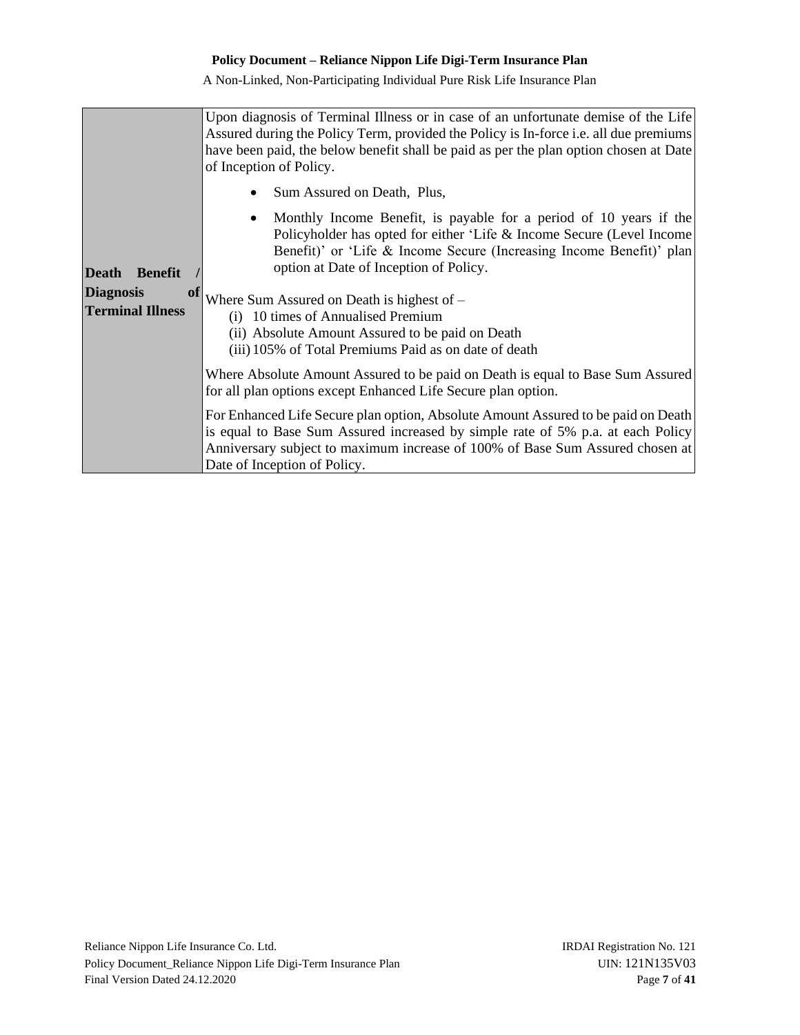|                                | Upon diagnosis of Terminal Illness or in case of an unfortunate demise of the Life<br>Assured during the Policy Term, provided the Policy is In-force <i>i.e.</i> all due premiums<br>have been paid, the below benefit shall be paid as per the plan option chosen at Date<br>of Inception of Policy. |  |  |  |
|--------------------------------|--------------------------------------------------------------------------------------------------------------------------------------------------------------------------------------------------------------------------------------------------------------------------------------------------------|--|--|--|
|                                | Sum Assured on Death, Plus,                                                                                                                                                                                                                                                                            |  |  |  |
| <b>Death</b><br><b>Benefit</b> | Monthly Income Benefit, is payable for a period of 10 years if the<br>Policyholder has opted for either 'Life & Income Secure (Level Income<br>Benefit)' or 'Life & Income Secure (Increasing Income Benefit)' plan<br>option at Date of Inception of Policy.                                          |  |  |  |
| <b>Diagnosis</b><br>01         | Where Sum Assured on Death is highest of $-$                                                                                                                                                                                                                                                           |  |  |  |
| <b>Terminal Illness</b>        | 10 times of Annualised Premium<br>(i)                                                                                                                                                                                                                                                                  |  |  |  |
|                                | (ii) Absolute Amount Assured to be paid on Death<br>(iii) 105% of Total Premiums Paid as on date of death                                                                                                                                                                                              |  |  |  |
|                                | Where Absolute Amount Assured to be paid on Death is equal to Base Sum Assured                                                                                                                                                                                                                         |  |  |  |
|                                | for all plan options except Enhanced Life Secure plan option.                                                                                                                                                                                                                                          |  |  |  |
|                                | For Enhanced Life Secure plan option, Absolute Amount Assured to be paid on Death<br>is equal to Base Sum Assured increased by simple rate of 5% p.a. at each Policy<br>Anniversary subject to maximum increase of 100% of Base Sum Assured chosen at<br>Date of Inception of Policy.                  |  |  |  |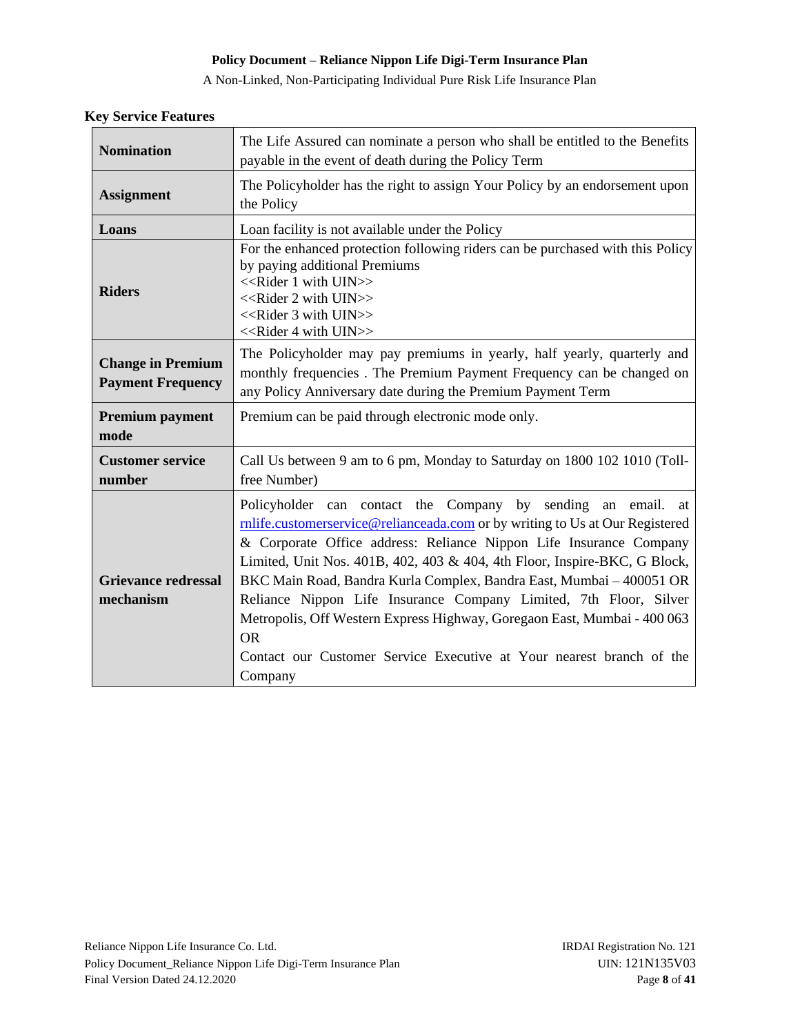A Non-Linked, Non-Participating Individual Pure Risk Life Insurance Plan

| <b>Nomination</b>                                    | The Life Assured can nominate a person who shall be entitled to the Benefits<br>payable in the event of death during the Policy Term                                                                                                                                                                                                                                                                                                                                                                                                                                                                                     |
|------------------------------------------------------|--------------------------------------------------------------------------------------------------------------------------------------------------------------------------------------------------------------------------------------------------------------------------------------------------------------------------------------------------------------------------------------------------------------------------------------------------------------------------------------------------------------------------------------------------------------------------------------------------------------------------|
| <b>Assignment</b>                                    | The Policyholder has the right to assign Your Policy by an endorsement upon<br>the Policy                                                                                                                                                                                                                                                                                                                                                                                                                                                                                                                                |
| Loans                                                | Loan facility is not available under the Policy                                                                                                                                                                                                                                                                                                                                                                                                                                                                                                                                                                          |
| <b>Riders</b>                                        | For the enhanced protection following riders can be purchased with this Policy<br>by paying additional Premiums<br>< <rider 1="" uin="" with="">&gt;<br/>&lt;<rider 2="" uin="" with="">&gt;<br/>&lt;<rider 3="" uin="" with="">&gt;<br/>&lt;<rider 4="" uin="" with="">&gt;</rider></rider></rider></rider>                                                                                                                                                                                                                                                                                                             |
| <b>Change in Premium</b><br><b>Payment Frequency</b> | The Policyholder may pay premiums in yearly, half yearly, quarterly and<br>monthly frequencies. The Premium Payment Frequency can be changed on<br>any Policy Anniversary date during the Premium Payment Term                                                                                                                                                                                                                                                                                                                                                                                                           |
| <b>Premium payment</b><br>mode                       | Premium can be paid through electronic mode only.                                                                                                                                                                                                                                                                                                                                                                                                                                                                                                                                                                        |
| <b>Customer service</b><br>number                    | Call Us between 9 am to 6 pm, Monday to Saturday on 1800 102 1010 (Toll-<br>free Number)                                                                                                                                                                                                                                                                                                                                                                                                                                                                                                                                 |
| <b>Grievance redressal</b><br>mechanism              | Policyholder can contact the Company by sending an email. at<br>rnlife.customerservice@relianceada.com or by writing to Us at Our Registered<br>& Corporate Office address: Reliance Nippon Life Insurance Company<br>Limited, Unit Nos. 401B, 402, 403 & 404, 4th Floor, Inspire-BKC, G Block,<br>BKC Main Road, Bandra Kurla Complex, Bandra East, Mumbai - 400051 OR<br>Reliance Nippon Life Insurance Company Limited, 7th Floor, Silver<br>Metropolis, Off Western Express Highway, Goregaon East, Mumbai - 400 063<br><b>OR</b><br>Contact our Customer Service Executive at Your nearest branch of the<br>Company |

### **Key Service Features**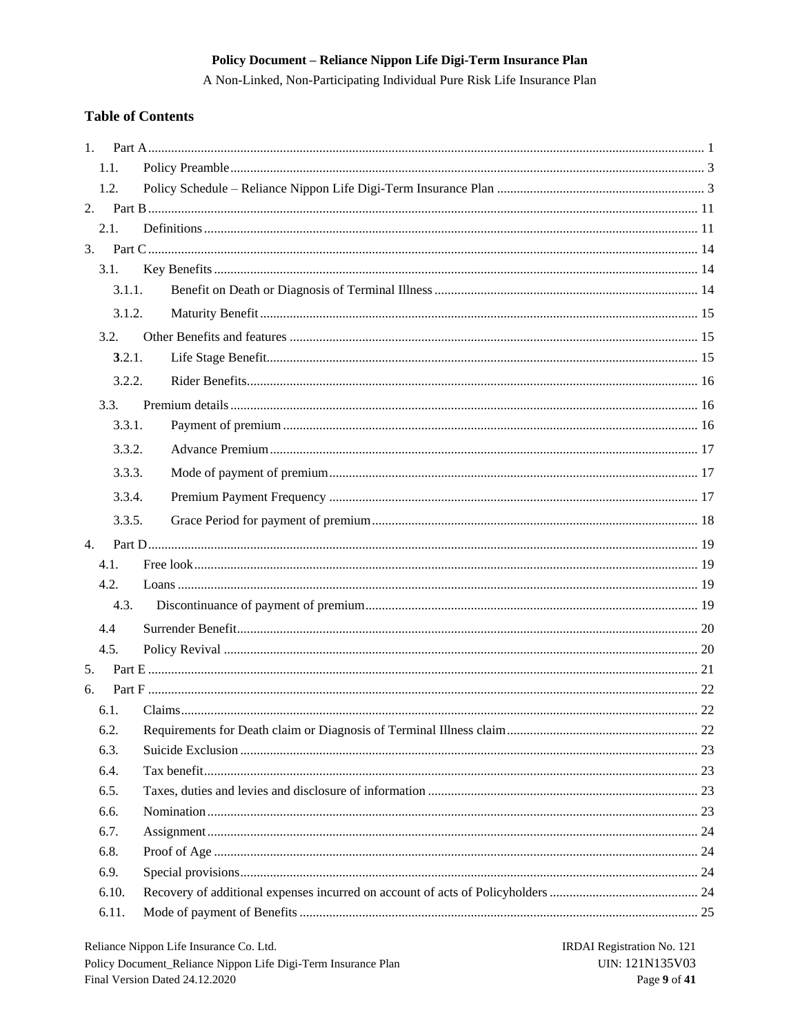A Non-Linked, Non-Participating Individual Pure Risk Life Insurance Plan

# **Table of Contents**

| $1_{-}$      |  |
|--------------|--|
| 1.1.         |  |
| 1.2.         |  |
|              |  |
| 2.1.         |  |
| 3.           |  |
| 3.1.         |  |
| 3.1.1.       |  |
| 3.1.2.       |  |
| 3.2.         |  |
| 3.2.1.       |  |
| 3.2.2.       |  |
| 3.3.         |  |
| 3.3.1.       |  |
| 3.3.2.       |  |
| 3.3.3.       |  |
| 3.3.4.       |  |
|              |  |
| 3.3.5.       |  |
| 4.           |  |
| 4.1.<br>4.2. |  |
| 4.3.         |  |
|              |  |
| 4.4          |  |
| 4.5.<br>5.   |  |
| 6.           |  |
| 6.1.         |  |
| 6.2.         |  |
| 6.3.         |  |
| 6.4.         |  |
| 6.5.         |  |
| 6.6.         |  |
| 6.7.         |  |
| 6.8.         |  |
| 6.9.         |  |
| 6.10.        |  |
| 6.11.        |  |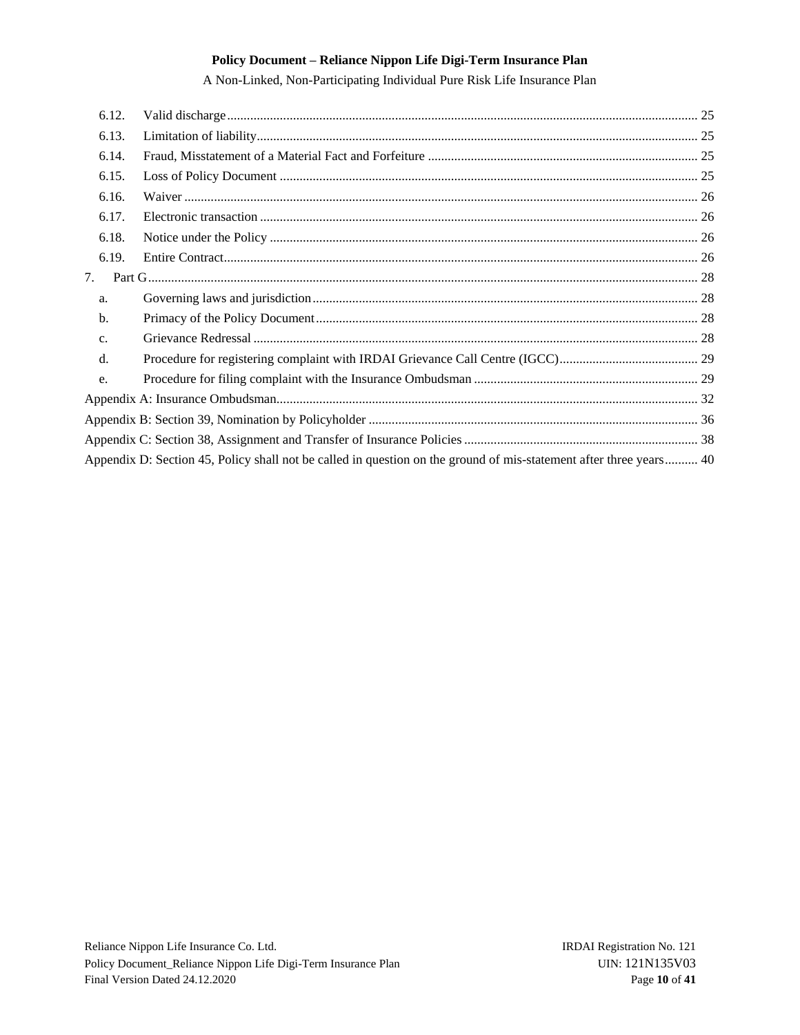| 6.12. |                                                                                                                    |  |
|-------|--------------------------------------------------------------------------------------------------------------------|--|
| 6.13. |                                                                                                                    |  |
| 6.14. |                                                                                                                    |  |
| 6.15. |                                                                                                                    |  |
| 6.16. |                                                                                                                    |  |
| 6.17. |                                                                                                                    |  |
| 6.18. |                                                                                                                    |  |
| 6.19. |                                                                                                                    |  |
| 7.    |                                                                                                                    |  |
| a.    |                                                                                                                    |  |
| b.    |                                                                                                                    |  |
| c.    |                                                                                                                    |  |
| d.    |                                                                                                                    |  |
| e.    |                                                                                                                    |  |
|       |                                                                                                                    |  |
|       |                                                                                                                    |  |
|       |                                                                                                                    |  |
|       | Appendix D: Section 45, Policy shall not be called in question on the ground of mis-statement after three years 40 |  |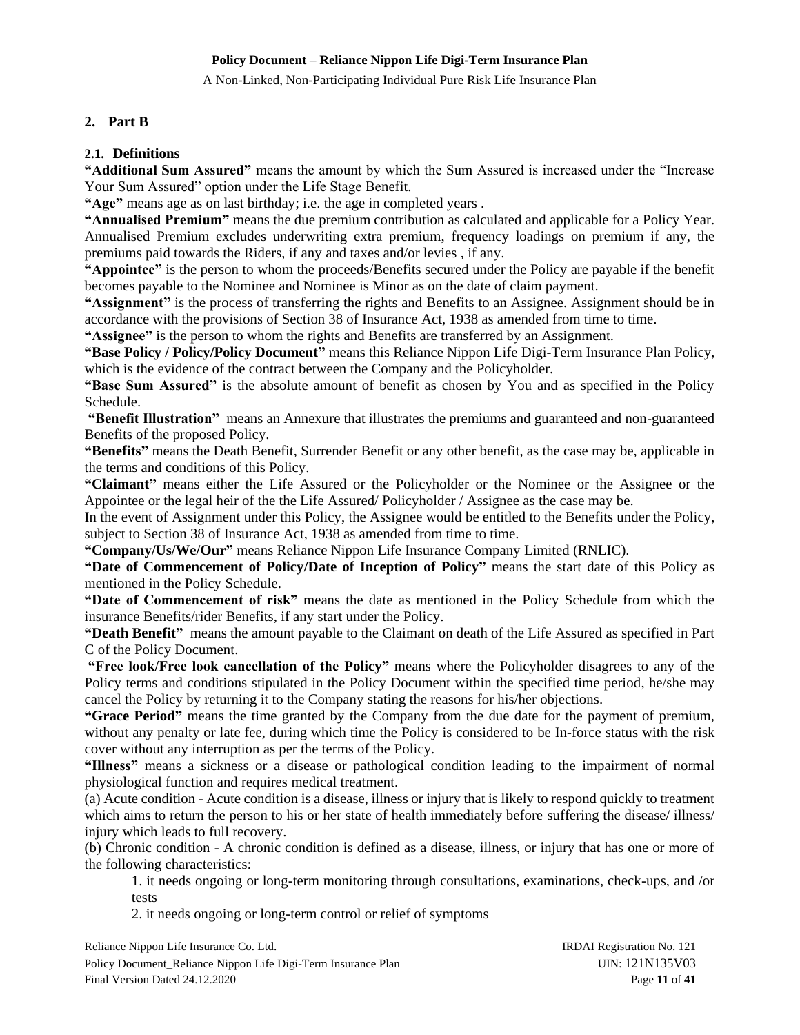A Non-Linked, Non-Participating Individual Pure Risk Life Insurance Plan

# <span id="page-10-0"></span>**2. Part B**

### <span id="page-10-1"></span>**2.1. Definitions**

**"Additional Sum Assured"** means the amount by which the Sum Assured is increased under the "Increase Your Sum Assured" option under the Life Stage Benefit.

**"Age"** means age as on last birthday; i.e. the age in completed years .

**"Annualised Premium"** means the due premium contribution as calculated and applicable for a Policy Year. Annualised Premium excludes underwriting extra premium, frequency loadings on premium if any, the premiums paid towards the Riders, if any and taxes and/or levies , if any.

**"Appointee"** is the person to whom the proceeds/Benefits secured under the Policy are payable if the benefit becomes payable to the Nominee and Nominee is Minor as on the date of claim payment.

**"Assignment"** is the process of transferring the rights and Benefits to an Assignee. Assignment should be in accordance with the provisions of Section 38 of Insurance Act, 1938 as amended from time to time.

**"Assignee"** is the person to whom the rights and Benefits are transferred by an Assignment.

**"Base Policy / Policy/Policy Document"** means this Reliance Nippon Life Digi-Term Insurance Plan Policy, which is the evidence of the contract between the Company and the Policyholder.

**"Base Sum Assured"** is the absolute amount of benefit as chosen by You and as specified in the Policy Schedule.

**"Benefit Illustration"** means an Annexure that illustrates the premiums and guaranteed and non-guaranteed Benefits of the proposed Policy.

**"Benefits"** means the Death Benefit, Surrender Benefit or any other benefit, as the case may be, applicable in the terms and conditions of this Policy.

**"Claimant"** means either the Life Assured or the Policyholder or the Nominee or the Assignee or the Appointee or the legal heir of the the Life Assured/ Policyholder / Assignee as the case may be.

In the event of Assignment under this Policy, the Assignee would be entitled to the Benefits under the Policy, subject to Section 38 of Insurance Act, 1938 as amended from time to time.

**"Company/Us/We/Our"** means Reliance Nippon Life Insurance Company Limited (RNLIC).

**"Date of Commencement of Policy/Date of Inception of Policy"** means the start date of this Policy as mentioned in the Policy Schedule.

**"Date of Commencement of risk"** means the date as mentioned in the Policy Schedule from which the insurance Benefits/rider Benefits, if any start under the Policy.

**"Death Benefit"** means the amount payable to the Claimant on death of the Life Assured as specified in Part C of the Policy Document.

**"Free look/Free look cancellation of the Policy"** means where the Policyholder disagrees to any of the Policy terms and conditions stipulated in the Policy Document within the specified time period, he/she may cancel the Policy by returning it to the Company stating the reasons for his/her objections.

**"Grace Period"** means the time granted by the Company from the due date for the payment of premium, without any penalty or late fee, during which time the Policy is considered to be In-force status with the risk cover without any interruption as per the terms of the Policy.

**"Illness"** means a sickness or a disease or pathological condition leading to the impairment of normal physiological function and requires medical treatment.

(a) Acute condition - Acute condition is a disease, illness or injury that is likely to respond quickly to treatment which aims to return the person to his or her state of health immediately before suffering the disease/ illness/ injury which leads to full recovery.

(b) Chronic condition - A chronic condition is defined as a disease, illness, or injury that has one or more of the following characteristics:

1. it needs ongoing or long-term monitoring through consultations, examinations, check-ups, and /or tests

2. it needs ongoing or long-term control or relief of symptoms

Reliance Nippon Life Insurance Co. Ltd. **IRDAI Registration No. 121** Policy Document\_Reliance Nippon Life Digi-Term Insurance Plan UIN: 121N135V03 Final Version Dated 24.12.2020 **Page 11** of 41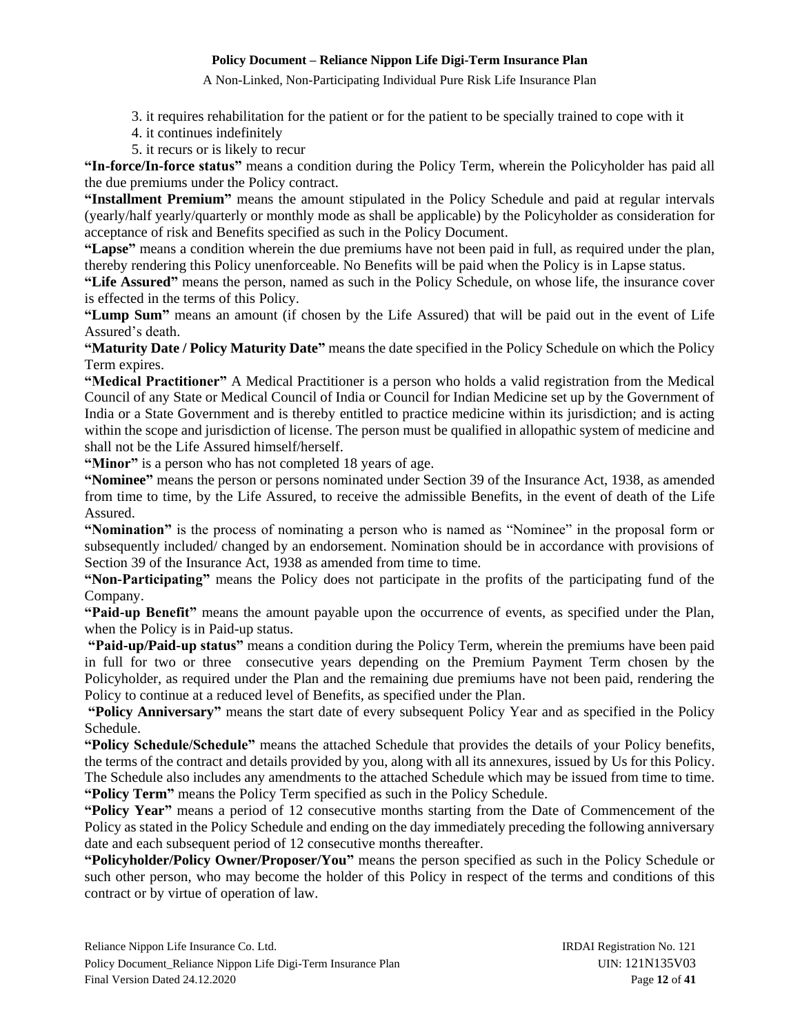A Non-Linked, Non-Participating Individual Pure Risk Life Insurance Plan

3. it requires rehabilitation for the patient or for the patient to be specially trained to cope with it

- 4. it continues indefinitely
- 5. it recurs or is likely to recur

**"In-force/In-force status"** means a condition during the Policy Term, wherein the Policyholder has paid all the due premiums under the Policy contract.

**"Installment Premium"** means the amount stipulated in the Policy Schedule and paid at regular intervals (yearly/half yearly/quarterly or monthly mode as shall be applicable) by the Policyholder as consideration for acceptance of risk and Benefits specified as such in the Policy Document.

**"Lapse"** means a condition wherein the due premiums have not been paid in full, as required under the plan, thereby rendering this Policy unenforceable. No Benefits will be paid when the Policy is in Lapse status.

**"Life Assured"** means the person, named as such in the Policy Schedule, on whose life, the insurance cover is effected in the terms of this Policy.

**"Lump Sum"** means an amount (if chosen by the Life Assured) that will be paid out in the event of Life Assured's death.

**"Maturity Date / Policy Maturity Date"** means the date specified in the Policy Schedule on which the Policy Term expires.

**"Medical Practitioner"** A Medical Practitioner is a person who holds a valid registration from the Medical Council of any State or Medical Council of India or Council for Indian Medicine set up by the Government of India or a State Government and is thereby entitled to practice medicine within its jurisdiction; and is acting within the scope and jurisdiction of license. The person must be qualified in allopathic system of medicine and shall not be the Life Assured himself/herself.

**"Minor"** is a person who has not completed 18 years of age.

**"Nominee"** means the person or persons nominated under Section 39 of the Insurance Act, 1938, as amended from time to time, by the Life Assured, to receive the admissible Benefits, in the event of death of the Life Assured.

**"Nomination"** is the process of nominating a person who is named as "Nominee" in the proposal form or subsequently included/ changed by an endorsement. Nomination should be in accordance with provisions of Section 39 of the Insurance Act, 1938 as amended from time to time.

**"Non-Participating"** means the Policy does not participate in the profits of the participating fund of the Company.

**"Paid-up Benefit"** means the amount payable upon the occurrence of events, as specified under the Plan, when the Policy is in Paid-up status.

**"Paid-up/Paid-up status"** means a condition during the Policy Term, wherein the premiums have been paid in full for two or three consecutive years depending on the Premium Payment Term chosen by the Policyholder, as required under the Plan and the remaining due premiums have not been paid, rendering the Policy to continue at a reduced level of Benefits, as specified under the Plan.

**"Policy Anniversary"** means the start date of every subsequent Policy Year and as specified in the Policy Schedule.

**"Policy Schedule/Schedule"** means the attached Schedule that provides the details of your Policy benefits, the terms of the contract and details provided by you, along with all its annexures, issued by Us for this Policy. The Schedule also includes any amendments to the attached Schedule which may be issued from time to time. **"Policy Term"** means the Policy Term specified as such in the Policy Schedule.

**"Policy Year"** means a period of 12 consecutive months starting from the Date of Commencement of the Policy as stated in the Policy Schedule and ending on the day immediately preceding the following anniversary date and each subsequent period of 12 consecutive months thereafter.

**"Policyholder/Policy Owner/Proposer/You"** means the person specified as such in the Policy Schedule or such other person, who may become the holder of this Policy in respect of the terms and conditions of this contract or by virtue of operation of law.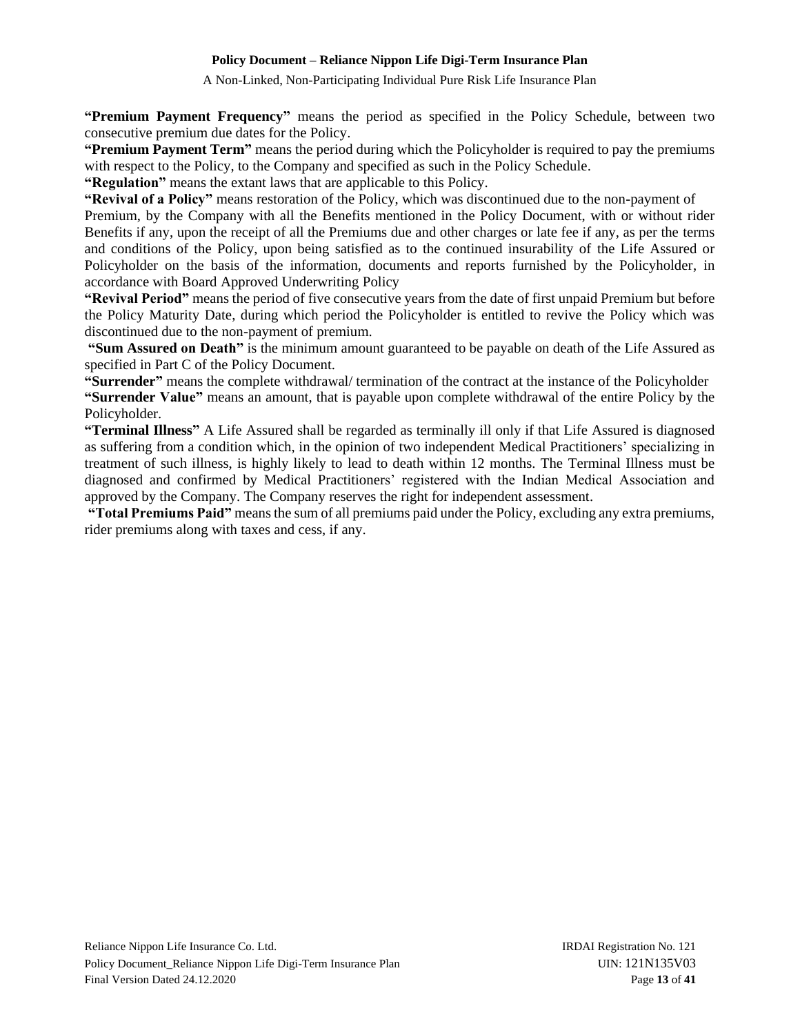A Non-Linked, Non-Participating Individual Pure Risk Life Insurance Plan

**"Premium Payment Frequency"** means the period as specified in the Policy Schedule, between two consecutive premium due dates for the Policy.

**"Premium Payment Term"** means the period during which the Policyholder is required to pay the premiums with respect to the Policy, to the Company and specified as such in the Policy Schedule.

**"Regulation"** means the extant laws that are applicable to this Policy.

**"Revival of a Policy"** means restoration of the Policy, which was discontinued due to the non-payment of

Premium, by the Company with all the Benefits mentioned in the Policy Document, with or without rider Benefits if any, upon the receipt of all the Premiums due and other charges or late fee if any, as per the terms and conditions of the Policy, upon being satisfied as to the continued insurability of the Life Assured or Policyholder on the basis of the information, documents and reports furnished by the Policyholder, in accordance with Board Approved Underwriting Policy

**"Revival Period"** means the period of five consecutive years from the date of first unpaid Premium but before the Policy Maturity Date, during which period the Policyholder is entitled to revive the Policy which was discontinued due to the non-payment of premium.

**"Sum Assured on Death"** is the minimum amount guaranteed to be payable on death of the Life Assured as specified in Part C of the Policy Document.

**"Surrender"** means the complete withdrawal/ termination of the contract at the instance of the Policyholder **"Surrender Value"** means an amount, that is payable upon complete withdrawal of the entire Policy by the Policyholder.

**"Terminal Illness"** A Life Assured shall be regarded as terminally ill only if that Life Assured is diagnosed as suffering from a condition which, in the opinion of two independent Medical Practitioners' specializing in treatment of such illness, is highly likely to lead to death within 12 months. The Terminal Illness must be diagnosed and confirmed by Medical Practitioners' registered with the Indian Medical Association and approved by the Company. The Company reserves the right for independent assessment.

**"Total Premiums Paid"** means the sum of all premiums paid under the Policy, excluding any extra premiums, rider premiums along with taxes and cess, if any.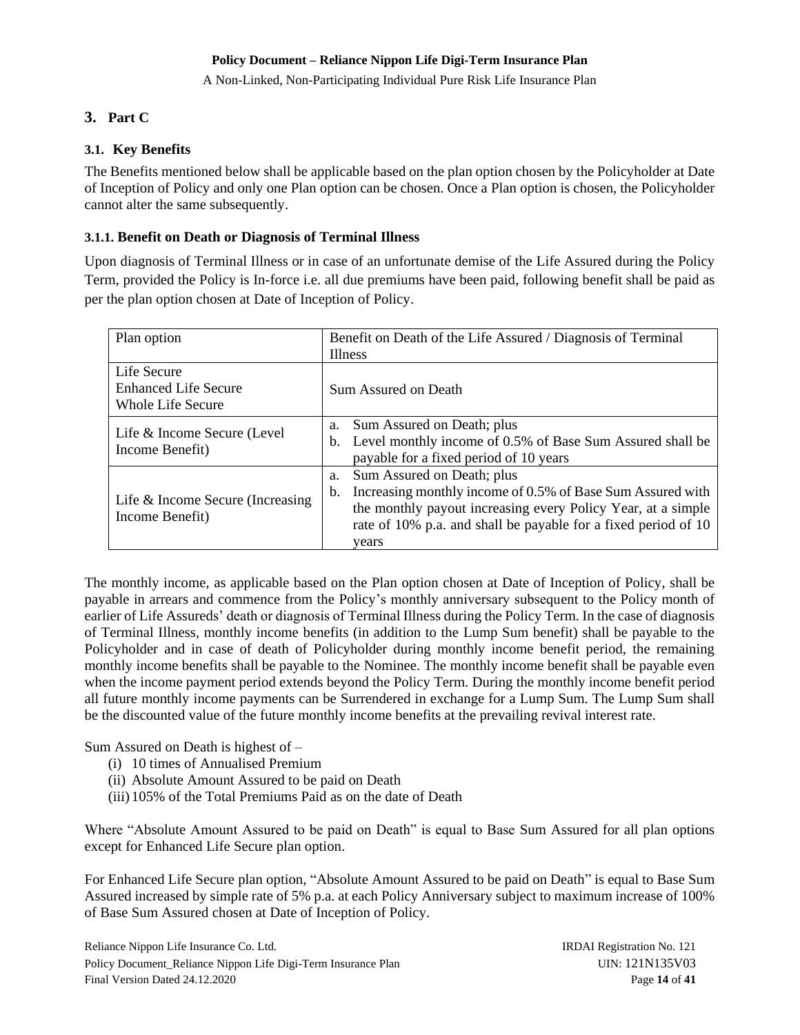A Non-Linked, Non-Participating Individual Pure Risk Life Insurance Plan

# <span id="page-13-0"></span>**3. Part C**

### <span id="page-13-1"></span>**3.1. Key Benefits**

The Benefits mentioned below shall be applicable based on the plan option chosen by the Policyholder at Date of Inception of Policy and only one Plan option can be chosen. Once a Plan option is chosen, the Policyholder cannot alter the same subsequently.

### <span id="page-13-2"></span>**3.1.1. Benefit on Death or Diagnosis of Terminal Illness**

Upon diagnosis of Terminal Illness or in case of an unfortunate demise of the Life Assured during the Policy Term, provided the Policy is In-force i.e. all due premiums have been paid, following benefit shall be paid as per the plan option chosen at Date of Inception of Policy.

| Plan option                                                            | Benefit on Death of the Life Assured / Diagnosis of Terminal<br><b>Illness</b>                                                                                                                                                                  |  |
|------------------------------------------------------------------------|-------------------------------------------------------------------------------------------------------------------------------------------------------------------------------------------------------------------------------------------------|--|
| Life Secure<br><b>Enhanced Life Secure</b><br><b>Whole Life Secure</b> | Sum Assured on Death                                                                                                                                                                                                                            |  |
| Life & Income Secure (Level<br>Income Benefit)                         | Sum Assured on Death; plus<br>a.<br>Level monthly income of 0.5% of Base Sum Assured shall be<br>b.<br>payable for a fixed period of 10 years                                                                                                   |  |
| Life $&$ Income Secure (Increasing<br>Income Benefit)                  | Sum Assured on Death; plus<br>a.<br>Increasing monthly income of 0.5% of Base Sum Assured with<br>b.<br>the monthly payout increasing every Policy Year, at a simple<br>rate of 10% p.a. and shall be payable for a fixed period of 10<br>years |  |

The monthly income, as applicable based on the Plan option chosen at Date of Inception of Policy, shall be payable in arrears and commence from the Policy's monthly anniversary subsequent to the Policy month of earlier of Life Assureds' death or diagnosis of Terminal Illness during the Policy Term. In the case of diagnosis of Terminal Illness, monthly income benefits (in addition to the Lump Sum benefit) shall be payable to the Policyholder and in case of death of Policyholder during monthly income benefit period, the remaining monthly income benefits shall be payable to the Nominee. The monthly income benefit shall be payable even when the income payment period extends beyond the Policy Term. During the monthly income benefit period all future monthly income payments can be Surrendered in exchange for a Lump Sum. The Lump Sum shall be the discounted value of the future monthly income benefits at the prevailing revival interest rate.

Sum Assured on Death is highest of –

- (i) 10 times of Annualised Premium
- (ii) Absolute Amount Assured to be paid on Death
- (iii) 105% of the Total Premiums Paid as on the date of Death

Where "Absolute Amount Assured to be paid on Death" is equal to Base Sum Assured for all plan options except for Enhanced Life Secure plan option.

For Enhanced Life Secure plan option, "Absolute Amount Assured to be paid on Death" is equal to Base Sum Assured increased by simple rate of 5% p.a. at each Policy Anniversary subject to maximum increase of 100% of Base Sum Assured chosen at Date of Inception of Policy.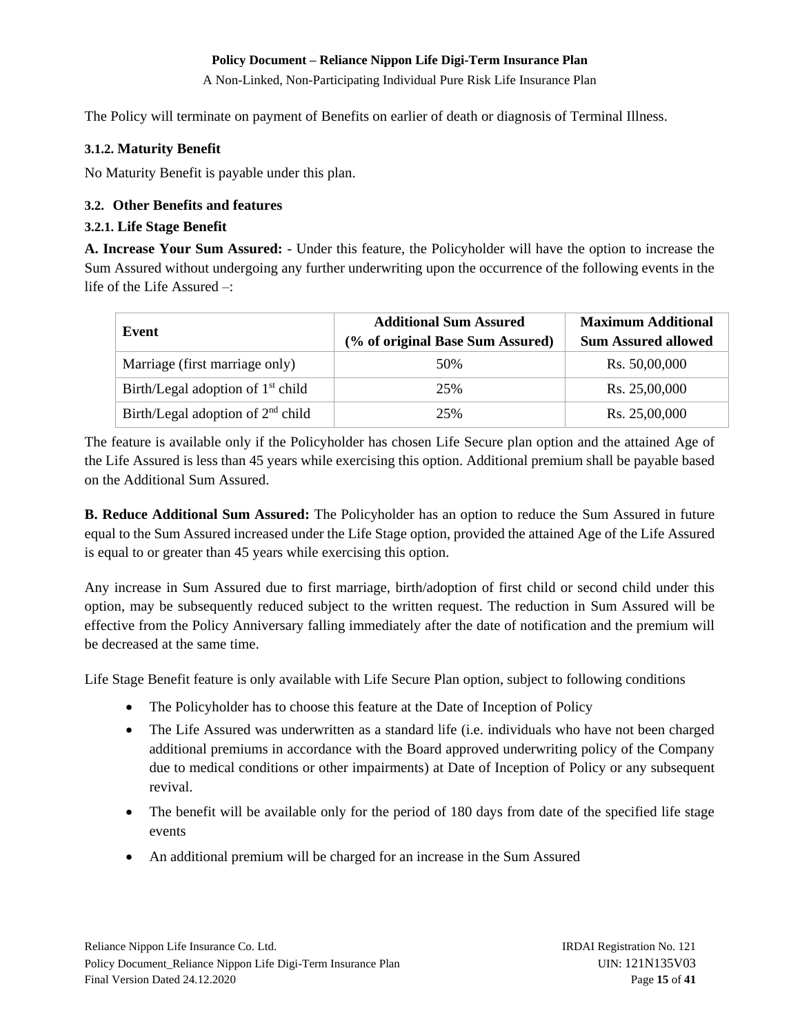A Non-Linked, Non-Participating Individual Pure Risk Life Insurance Plan

The Policy will terminate on payment of Benefits on earlier of death or diagnosis of Terminal Illness.

### <span id="page-14-0"></span>**3.1.2. Maturity Benefit**

No Maturity Benefit is payable under this plan.

# <span id="page-14-1"></span>**3.2. Other Benefits and features**

### <span id="page-14-2"></span>**3.2.1. Life Stage Benefit**

**A. Increase Your Sum Assured:** - Under this feature, the Policyholder will have the option to increase the Sum Assured without undergoing any further underwriting upon the occurrence of the following events in the life of the Life Assured –:

| Event                               | <b>Additional Sum Assured</b>    | <b>Maximum Additional</b>  |  |
|-------------------------------------|----------------------------------|----------------------------|--|
|                                     | (% of original Base Sum Assured) | <b>Sum Assured allowed</b> |  |
| Marriage (first marriage only)      | 50%                              | Rs. 50,00,000              |  |
| Birth/Legal adoption of $1st$ child | 25%                              | Rs. 25,00,000              |  |
| Birth/Legal adoption of $2nd$ child | 25%                              | Rs. 25,00,000              |  |

The feature is available only if the Policyholder has chosen Life Secure plan option and the attained Age of the Life Assured is less than 45 years while exercising this option. Additional premium shall be payable based on the Additional Sum Assured.

**B. Reduce Additional Sum Assured:** The Policyholder has an option to reduce the Sum Assured in future equal to the Sum Assured increased under the Life Stage option, provided the attained Age of the Life Assured is equal to or greater than 45 years while exercising this option.

Any increase in Sum Assured due to first marriage, birth/adoption of first child or second child under this option, may be subsequently reduced subject to the written request. The reduction in Sum Assured will be effective from the Policy Anniversary falling immediately after the date of notification and the premium will be decreased at the same time.

Life Stage Benefit feature is only available with Life Secure Plan option, subject to following conditions

- The Policyholder has to choose this feature at the Date of Inception of Policy
- The Life Assured was underwritten as a standard life (i.e. individuals who have not been charged additional premiums in accordance with the Board approved underwriting policy of the Company due to medical conditions or other impairments) at Date of Inception of Policy or any subsequent revival.
- The benefit will be available only for the period of 180 days from date of the specified life stage events
- An additional premium will be charged for an increase in the Sum Assured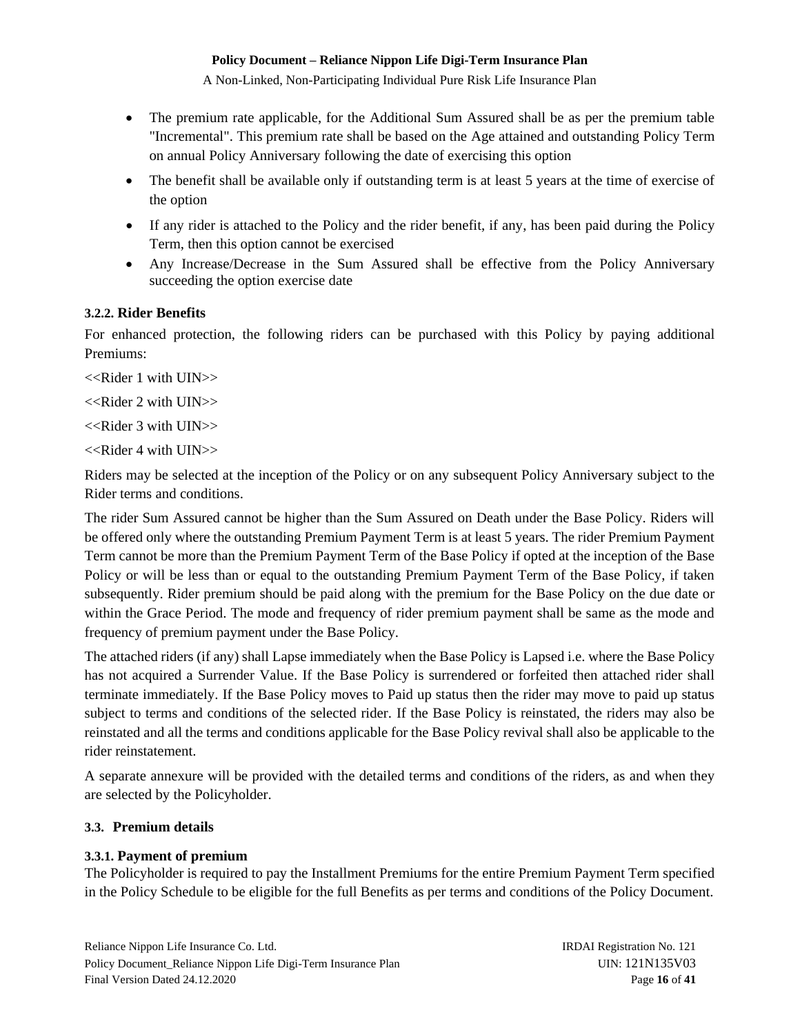A Non-Linked, Non-Participating Individual Pure Risk Life Insurance Plan

- The premium rate applicable, for the Additional Sum Assured shall be as per the premium table "Incremental". This premium rate shall be based on the Age attained and outstanding Policy Term on annual Policy Anniversary following the date of exercising this option
- The benefit shall be available only if outstanding term is at least 5 years at the time of exercise of the option
- If any rider is attached to the Policy and the rider benefit, if any, has been paid during the Policy Term, then this option cannot be exercised
- Any Increase/Decrease in the Sum Assured shall be effective from the Policy Anniversary succeeding the option exercise date

# <span id="page-15-0"></span>**3.2.2. Rider Benefits**

For enhanced protection, the following riders can be purchased with this Policy by paying additional Premiums:

<<Rider 1 with UIN>>

<<Rider 2 with UIN>>

 $<<$ Rider 3 with UIN $>>$ 

<<Rider 4 with UIN>>

Riders may be selected at the inception of the Policy or on any subsequent Policy Anniversary subject to the Rider terms and conditions.

The rider Sum Assured cannot be higher than the Sum Assured on Death under the Base Policy. Riders will be offered only where the outstanding Premium Payment Term is at least 5 years. The rider Premium Payment Term cannot be more than the Premium Payment Term of the Base Policy if opted at the inception of the Base Policy or will be less than or equal to the outstanding Premium Payment Term of the Base Policy, if taken subsequently. Rider premium should be paid along with the premium for the Base Policy on the due date or within the Grace Period. The mode and frequency of rider premium payment shall be same as the mode and frequency of premium payment under the Base Policy.

The attached riders (if any) shall Lapse immediately when the Base Policy is Lapsed i.e. where the Base Policy has not acquired a Surrender Value. If the Base Policy is surrendered or forfeited then attached rider shall terminate immediately. If the Base Policy moves to Paid up status then the rider may move to paid up status subject to terms and conditions of the selected rider. If the Base Policy is reinstated, the riders may also be reinstated and all the terms and conditions applicable for the Base Policy revival shall also be applicable to the rider reinstatement.

A separate annexure will be provided with the detailed terms and conditions of the riders, as and when they are selected by the Policyholder.

# <span id="page-15-1"></span>**3.3. Premium details**

# <span id="page-15-2"></span>**3.3.1. Payment of premium**

The Policyholder is required to pay the Installment Premiums for the entire Premium Payment Term specified in the Policy Schedule to be eligible for the full Benefits as per terms and conditions of the Policy Document.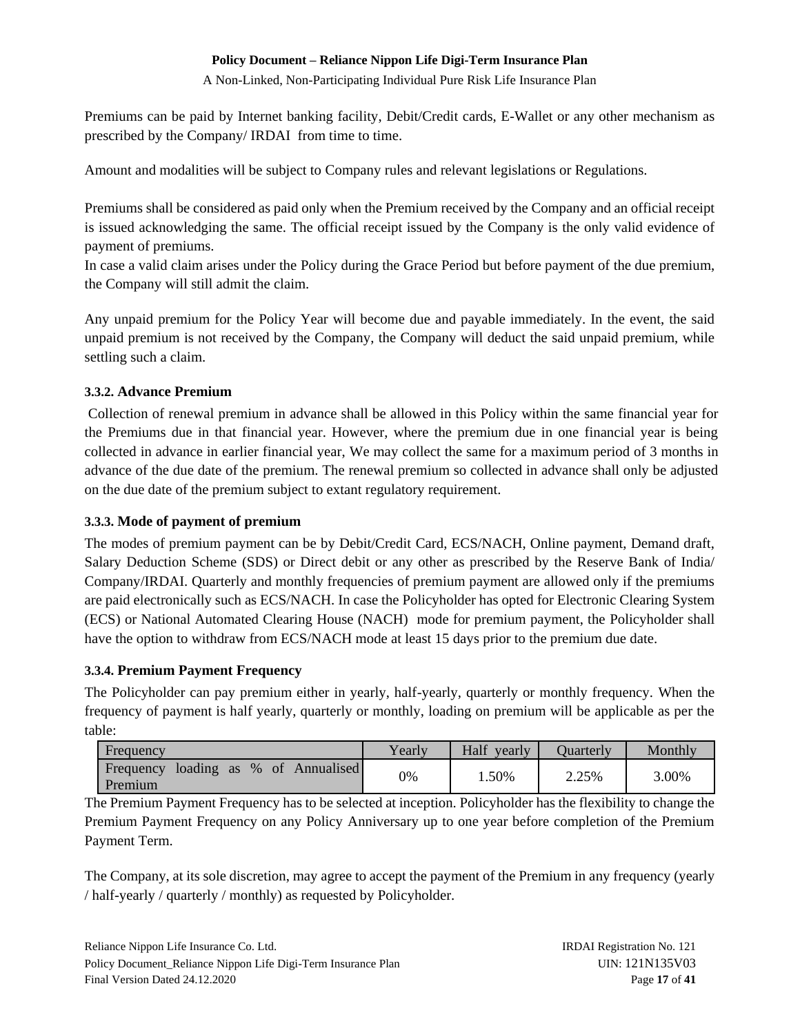A Non-Linked, Non-Participating Individual Pure Risk Life Insurance Plan

Premiums can be paid by Internet banking facility, Debit/Credit cards, E-Wallet or any other mechanism as prescribed by the Company/ IRDAI from time to time.

Amount and modalities will be subject to Company rules and relevant legislations or Regulations.

Premiums shall be considered as paid only when the Premium received by the Company and an official receipt is issued acknowledging the same. The official receipt issued by the Company is the only valid evidence of payment of premiums.

In case a valid claim arises under the Policy during the Grace Period but before payment of the due premium, the Company will still admit the claim.

Any unpaid premium for the Policy Year will become due and payable immediately. In the event, the said unpaid premium is not received by the Company, the Company will deduct the said unpaid premium, while settling such a claim.

# <span id="page-16-0"></span>**3.3.2. Advance Premium**

Collection of renewal premium in advance shall be allowed in this Policy within the same financial year for the Premiums due in that financial year. However, where the premium due in one financial year is being collected in advance in earlier financial year, We may collect the same for a maximum period of 3 months in advance of the due date of the premium. The renewal premium so collected in advance shall only be adjusted on the due date of the premium subject to extant regulatory requirement.

# <span id="page-16-1"></span>**3.3.3. Mode of payment of premium**

The modes of premium payment can be by Debit/Credit Card, ECS/NACH, Online payment, Demand draft, Salary Deduction Scheme (SDS) or Direct debit or any other as prescribed by the Reserve Bank of India/ Company/IRDAI. Quarterly and monthly frequencies of premium payment are allowed only if the premiums are paid electronically such as ECS/NACH. In case the Policyholder has opted for Electronic Clearing System (ECS) or National Automated Clearing House (NACH) mode for premium payment, the Policyholder shall have the option to withdraw from ECS/NACH mode at least 15 days prior to the premium due date.

# <span id="page-16-2"></span>**3.3.4. Premium Payment Frequency**

The Policyholder can pay premium either in yearly, half-yearly, quarterly or monthly frequency. When the frequency of payment is half yearly, quarterly or monthly, loading on premium will be applicable as per the table:

| Frequency                                          | Yearly | Half<br>vearly | Juarterly | Monthly |
|----------------------------------------------------|--------|----------------|-----------|---------|
| loading as % of Annualised<br>Frequency<br>Premium | 0%     | 1.50%          | 2.25%     | 3.00%   |

The Premium Payment Frequency has to be selected at inception. Policyholder has the flexibility to change the Premium Payment Frequency on any Policy Anniversary up to one year before completion of the Premium Payment Term.

The Company, at its sole discretion, may agree to accept the payment of the Premium in any frequency (yearly / half-yearly / quarterly / monthly) as requested by Policyholder.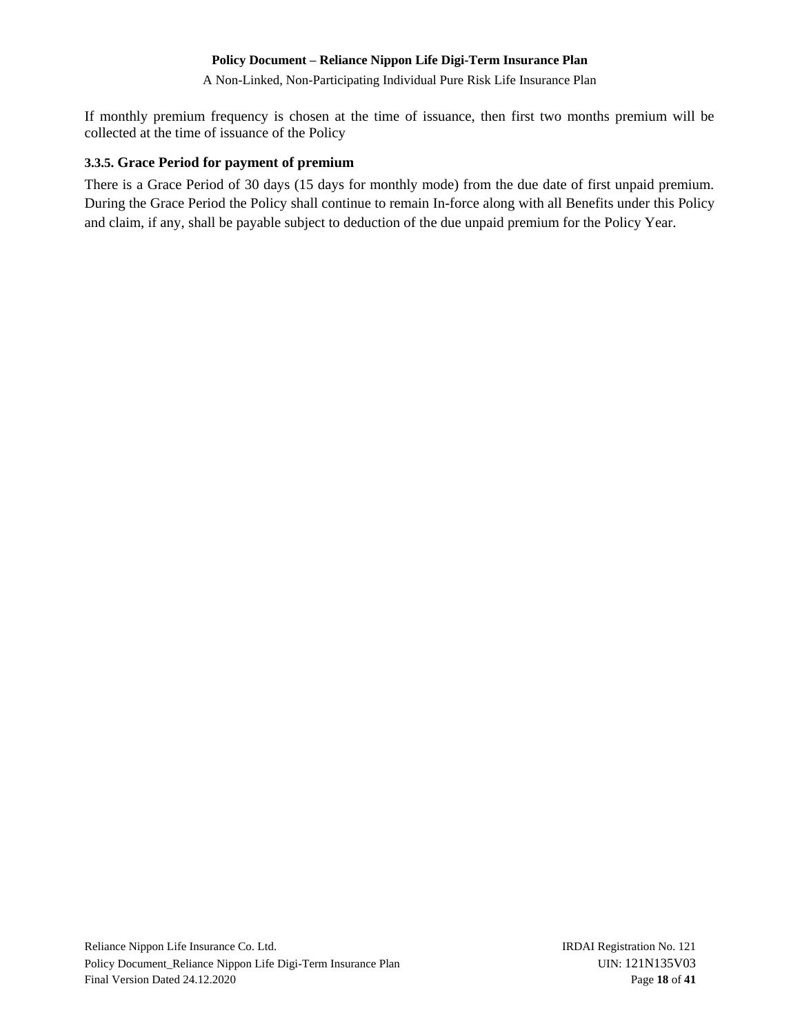A Non-Linked, Non-Participating Individual Pure Risk Life Insurance Plan

If monthly premium frequency is chosen at the time of issuance, then first two months premium will be collected at the time of issuance of the Policy

### <span id="page-17-0"></span>**3.3.5. Grace Period for payment of premium**

There is a Grace Period of 30 days (15 days for monthly mode) from the due date of first unpaid premium. During the Grace Period the Policy shall continue to remain In-force along with all Benefits under this Policy and claim, if any, shall be payable subject to deduction of the due unpaid premium for the Policy Year.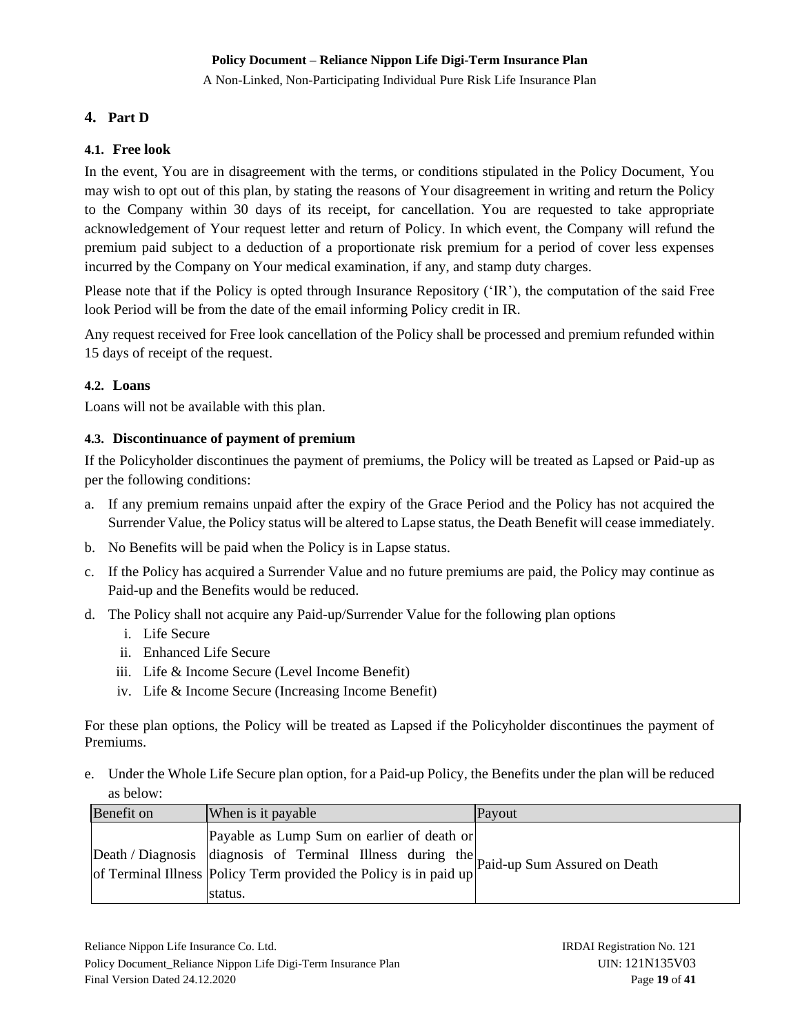A Non-Linked, Non-Participating Individual Pure Risk Life Insurance Plan

# <span id="page-18-0"></span>**4. Part D**

# <span id="page-18-1"></span>**4.1. Free look**

In the event, You are in disagreement with the terms, or conditions stipulated in the Policy Document, You may wish to opt out of this plan, by stating the reasons of Your disagreement in writing and return the Policy to the Company within 30 days of its receipt, for cancellation. You are requested to take appropriate acknowledgement of Your request letter and return of Policy. In which event, the Company will refund the premium paid subject to a deduction of a proportionate risk premium for a period of cover less expenses incurred by the Company on Your medical examination, if any, and stamp duty charges.

Please note that if the Policy is opted through Insurance Repository ('IR'), the computation of the said Free look Period will be from the date of the email informing Policy credit in IR.

Any request received for Free look cancellation of the Policy shall be processed and premium refunded within 15 days of receipt of the request.

# <span id="page-18-2"></span>**4.2. Loans**

Loans will not be available with this plan.

### <span id="page-18-3"></span>**4.3. Discontinuance of payment of premium**

If the Policyholder discontinues the payment of premiums, the Policy will be treated as Lapsed or Paid-up as per the following conditions:

- a. If any premium remains unpaid after the expiry of the Grace Period and the Policy has not acquired the Surrender Value, the Policy status will be altered to Lapse status, the Death Benefit will cease immediately.
- b. No Benefits will be paid when the Policy is in Lapse status.
- c. If the Policy has acquired a Surrender Value and no future premiums are paid, the Policy may continue as Paid-up and the Benefits would be reduced.
- d. The Policy shall not acquire any Paid-up/Surrender Value for the following plan options
	- i. Life Secure
	- ii. Enhanced Life Secure
	- iii. Life & Income Secure (Level Income Benefit)
	- iv. Life & Income Secure (Increasing Income Benefit)

For these plan options, the Policy will be treated as Lapsed if the Policyholder discontinues the payment of Premiums.

e. Under the Whole Life Secure plan option, for a Paid-up Policy, the Benefits under the plan will be reduced as below:

| Benefit on | When is it payable                                                                                                                                                                                                     | Payout |
|------------|------------------------------------------------------------------------------------------------------------------------------------------------------------------------------------------------------------------------|--------|
|            | Payable as Lump Sum on earlier of death or<br> Death / Diagnosis diagnosis of Terminal Illness during the Paid-up Sum Assured on Death<br>of Terminal Illness Policy Term provided the Policy is in paid up<br>status. |        |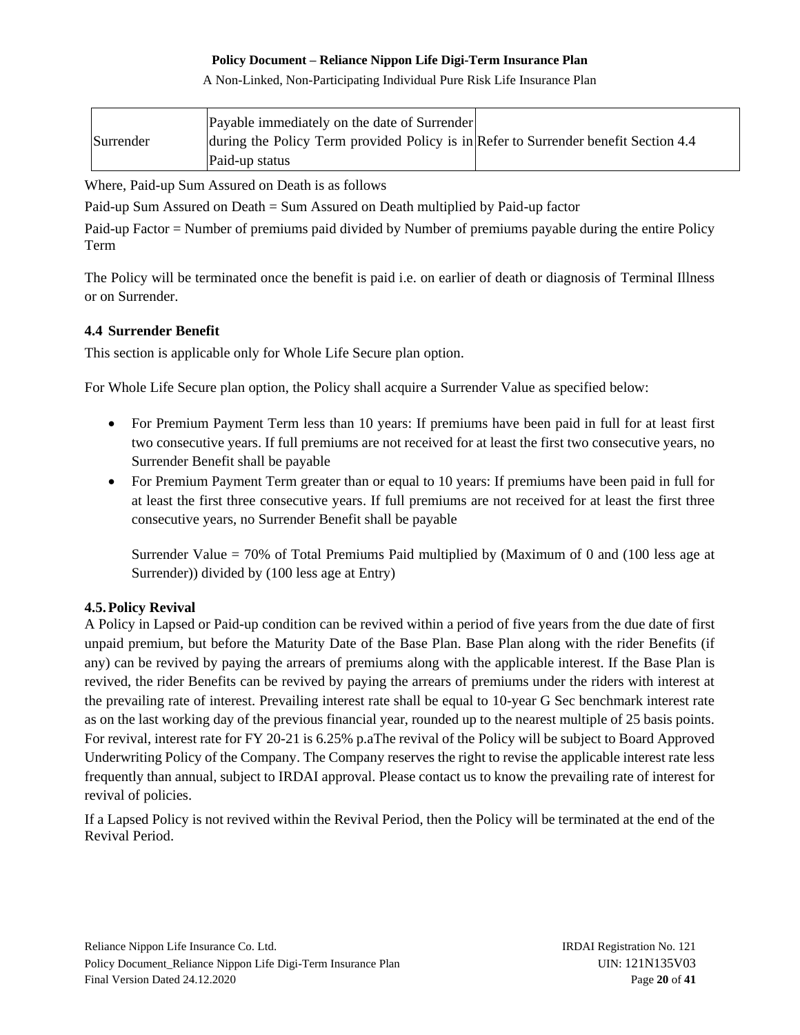A Non-Linked, Non-Participating Individual Pure Risk Life Insurance Plan

|           | Payable immediately on the date of Surrender                                        |  |
|-----------|-------------------------------------------------------------------------------------|--|
| Surrender | during the Policy Term provided Policy is in Refer to Surrender benefit Section 4.4 |  |
|           | Paid-up status                                                                      |  |

Where, Paid-up Sum Assured on Death is as follows

Paid-up Sum Assured on Death = Sum Assured on Death multiplied by Paid-up factor

Paid-up Factor = Number of premiums paid divided by Number of premiums payable during the entire Policy Term

The Policy will be terminated once the benefit is paid i.e. on earlier of death or diagnosis of Terminal Illness or on Surrender.

# <span id="page-19-0"></span>**4.4 Surrender Benefit**

This section is applicable only for Whole Life Secure plan option.

For Whole Life Secure plan option, the Policy shall acquire a Surrender Value as specified below:

- For Premium Payment Term less than 10 years: If premiums have been paid in full for at least first two consecutive years. If full premiums are not received for at least the first two consecutive years, no Surrender Benefit shall be payable
- For Premium Payment Term greater than or equal to 10 years: If premiums have been paid in full for at least the first three consecutive years. If full premiums are not received for at least the first three consecutive years, no Surrender Benefit shall be payable

Surrender Value = 70% of Total Premiums Paid multiplied by (Maximum of 0 and (100 less age at Surrender)) divided by (100 less age at Entry)

# <span id="page-19-1"></span>**4.5.Policy Revival**

A Policy in Lapsed or Paid-up condition can be revived within a period of five years from the due date of first unpaid premium, but before the Maturity Date of the Base Plan. Base Plan along with the rider Benefits (if any) can be revived by paying the arrears of premiums along with the applicable interest. If the Base Plan is revived, the rider Benefits can be revived by paying the arrears of premiums under the riders with interest at the prevailing rate of interest. Prevailing interest rate shall be equal to 10-year G Sec benchmark interest rate as on the last working day of the previous financial year, rounded up to the nearest multiple of 25 basis points. For revival, interest rate for FY 20-21 is 6.25% p.aThe revival of the Policy will be subject to Board Approved Underwriting Policy of the Company. The Company reserves the right to revise the applicable interest rate less frequently than annual, subject to IRDAI approval. Please contact us to know the prevailing rate of interest for revival of policies.

If a Lapsed Policy is not revived within the Revival Period, then the Policy will be terminated at the end of the Revival Period.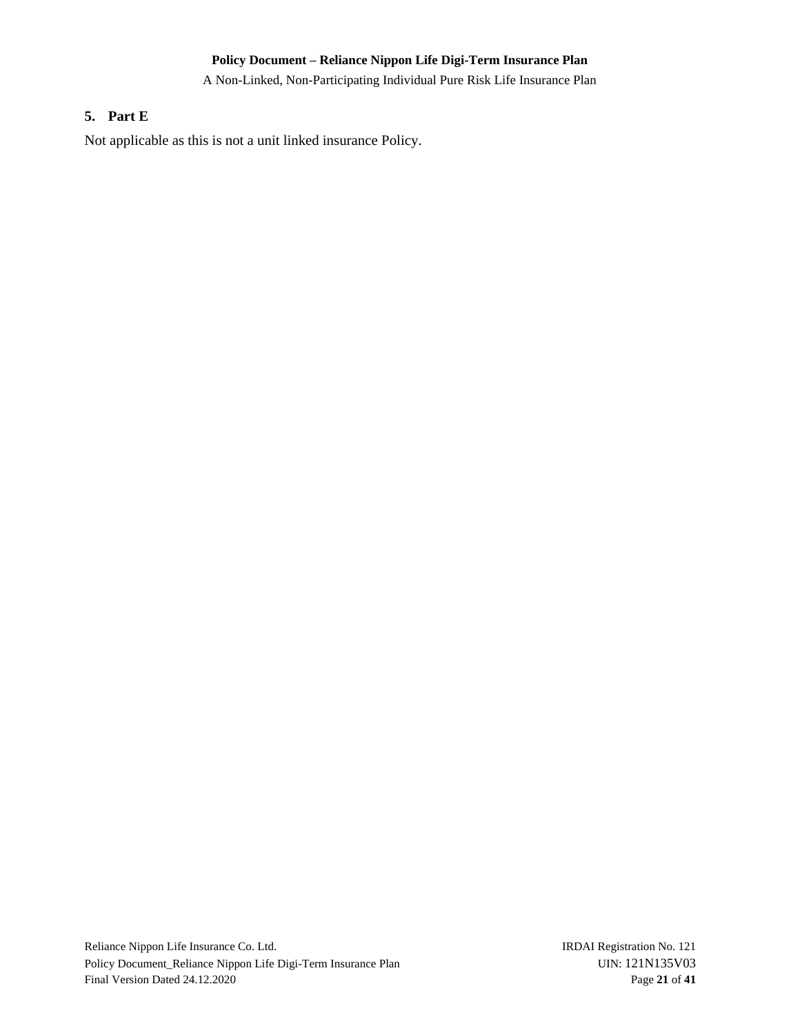A Non-Linked, Non-Participating Individual Pure Risk Life Insurance Plan

### <span id="page-20-0"></span>**5. Part E**

Not applicable as this is not a unit linked insurance Policy.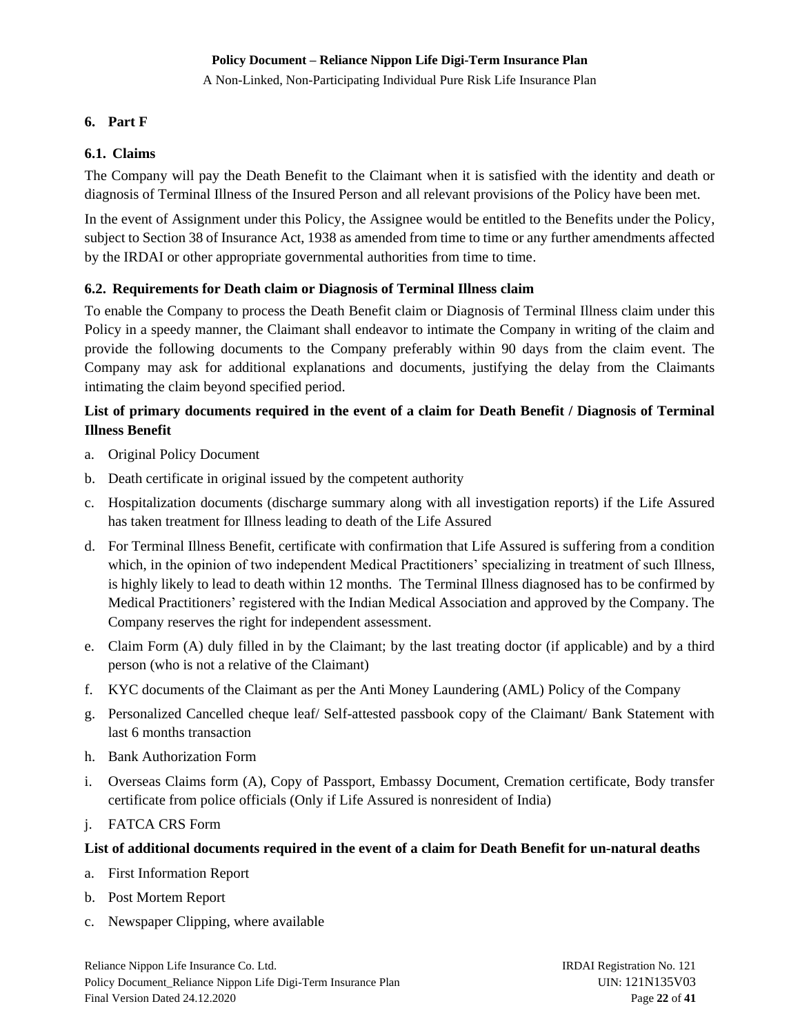A Non-Linked, Non-Participating Individual Pure Risk Life Insurance Plan

# <span id="page-21-0"></span>**6. Part F**

# <span id="page-21-1"></span>**6.1. Claims**

The Company will pay the Death Benefit to the Claimant when it is satisfied with the identity and death or diagnosis of Terminal Illness of the Insured Person and all relevant provisions of the Policy have been met.

In the event of Assignment under this Policy, the Assignee would be entitled to the Benefits under the Policy, subject to Section 38 of Insurance Act, 1938 as amended from time to time or any further amendments affected by the IRDAI or other appropriate governmental authorities from time to time.

# <span id="page-21-2"></span>**6.2. Requirements for Death claim or Diagnosis of Terminal Illness claim**

To enable the Company to process the Death Benefit claim or Diagnosis of Terminal Illness claim under this Policy in a speedy manner, the Claimant shall endeavor to intimate the Company in writing of the claim and provide the following documents to the Company preferably within 90 days from the claim event. The Company may ask for additional explanations and documents, justifying the delay from the Claimants intimating the claim beyond specified period.

# **List of primary documents required in the event of a claim for Death Benefit / Diagnosis of Terminal Illness Benefit**

- a. Original Policy Document
- b. Death certificate in original issued by the competent authority
- c. Hospitalization documents (discharge summary along with all investigation reports) if the Life Assured has taken treatment for Illness leading to death of the Life Assured
- d. For Terminal Illness Benefit, certificate with confirmation that Life Assured is suffering from a condition which, in the opinion of two independent Medical Practitioners' specializing in treatment of such Illness, is highly likely to lead to death within 12 months. The Terminal Illness diagnosed has to be confirmed by Medical Practitioners' registered with the Indian Medical Association and approved by the Company. The Company reserves the right for independent assessment.
- e. Claim Form (A) duly filled in by the Claimant; by the last treating doctor (if applicable) and by a third person (who is not a relative of the Claimant)
- f. KYC documents of the Claimant as per the Anti Money Laundering (AML) Policy of the Company
- g. Personalized Cancelled cheque leaf/ Self-attested passbook copy of the Claimant/ Bank Statement with last 6 months transaction
- h. Bank Authorization Form
- i. Overseas Claims form (A), Copy of Passport, Embassy Document, Cremation certificate, Body transfer certificate from police officials (Only if Life Assured is nonresident of India)
- j. FATCA CRS Form

# **List of additional documents required in the event of a claim for Death Benefit for un-natural deaths**

- a. First Information Report
- b. Post Mortem Report
- c. Newspaper Clipping, where available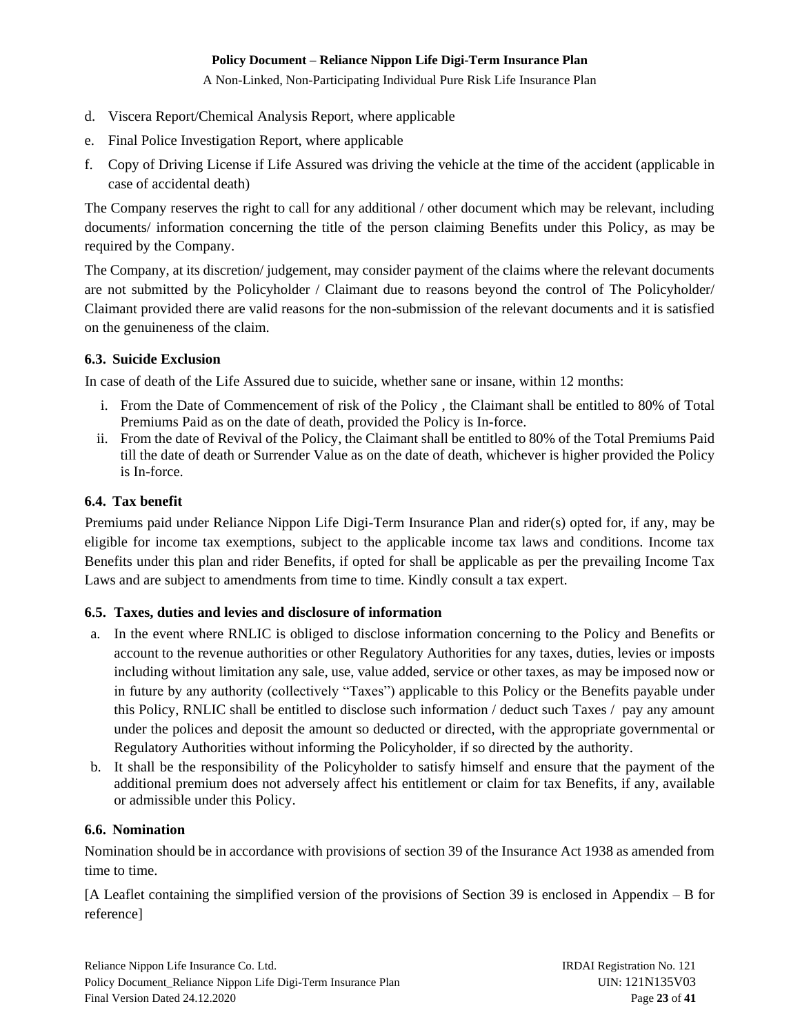A Non-Linked, Non-Participating Individual Pure Risk Life Insurance Plan

- d. Viscera Report/Chemical Analysis Report, where applicable
- e. Final Police Investigation Report, where applicable
- f. Copy of Driving License if Life Assured was driving the vehicle at the time of the accident (applicable in case of accidental death)

The Company reserves the right to call for any additional / other document which may be relevant, including documents/ information concerning the title of the person claiming Benefits under this Policy, as may be required by the Company.

The Company, at its discretion/ judgement, may consider payment of the claims where the relevant documents are not submitted by the Policyholder / Claimant due to reasons beyond the control of The Policyholder/ Claimant provided there are valid reasons for the non-submission of the relevant documents and it is satisfied on the genuineness of the claim.

# <span id="page-22-0"></span>**6.3. Suicide Exclusion**

In case of death of the Life Assured due to suicide, whether sane or insane, within 12 months:

- i. From the Date of Commencement of risk of the Policy , the Claimant shall be entitled to 80% of Total Premiums Paid as on the date of death, provided the Policy is In-force.
- ii. From the date of Revival of the Policy, the Claimant shall be entitled to 80% of the Total Premiums Paid till the date of death or Surrender Value as on the date of death, whichever is higher provided the Policy is In-force.

# <span id="page-22-1"></span>**6.4. Tax benefit**

Premiums paid under Reliance Nippon Life Digi-Term Insurance Plan and rider(s) opted for, if any, may be eligible for income tax exemptions, subject to the applicable income tax laws and conditions. Income tax Benefits under this plan and rider Benefits, if opted for shall be applicable as per the prevailing Income Tax Laws and are subject to amendments from time to time. Kindly consult a tax expert.

# <span id="page-22-2"></span>**6.5. Taxes, duties and levies and disclosure of information**

- a. In the event where RNLIC is obliged to disclose information concerning to the Policy and Benefits or account to the revenue authorities or other Regulatory Authorities for any taxes, duties, levies or imposts including without limitation any sale, use, value added, service or other taxes, as may be imposed now or in future by any authority (collectively "Taxes") applicable to this Policy or the Benefits payable under this Policy, RNLIC shall be entitled to disclose such information / deduct such Taxes / pay any amount under the polices and deposit the amount so deducted or directed, with the appropriate governmental or Regulatory Authorities without informing the Policyholder, if so directed by the authority.
- b. It shall be the responsibility of the Policyholder to satisfy himself and ensure that the payment of the additional premium does not adversely affect his entitlement or claim for tax Benefits, if any, available or admissible under this Policy.

# <span id="page-22-3"></span>**6.6. Nomination**

Nomination should be in accordance with provisions of section 39 of the Insurance Act 1938 as amended from time to time.

[A Leaflet containing the simplified version of the provisions of Section 39 is enclosed in Appendix – B for reference]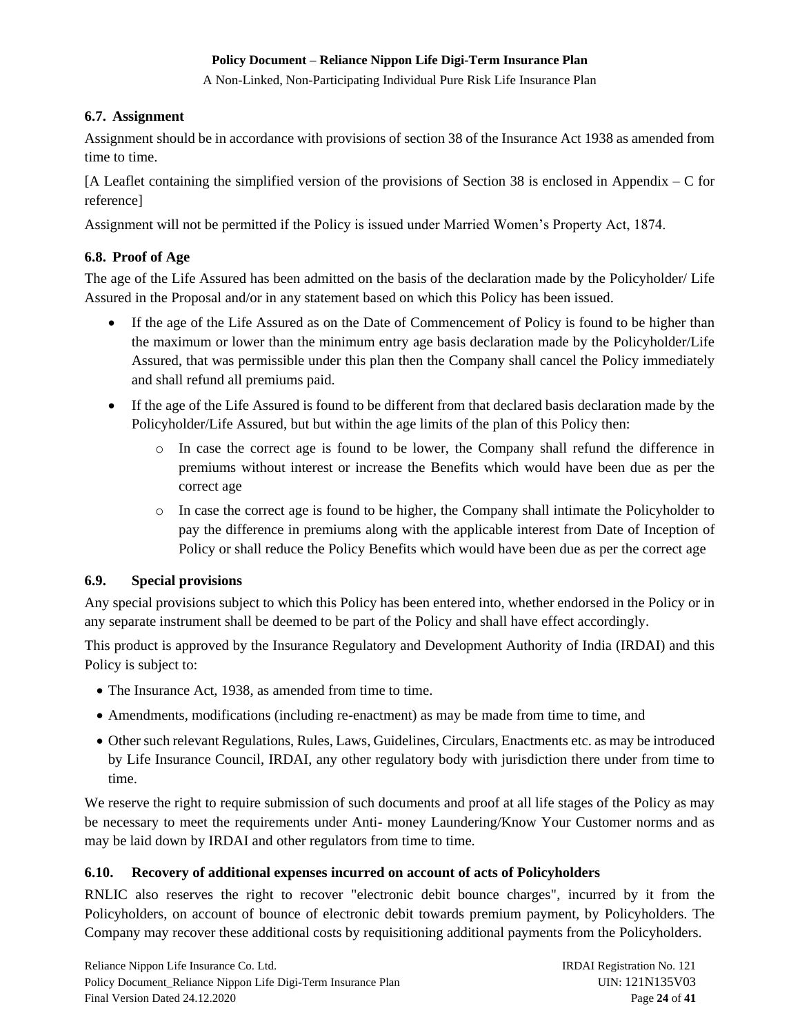A Non-Linked, Non-Participating Individual Pure Risk Life Insurance Plan

# <span id="page-23-0"></span>**6.7. Assignment**

Assignment should be in accordance with provisions of section 38 of the Insurance Act 1938 as amended from time to time.

[A Leaflet containing the simplified version of the provisions of Section 38 is enclosed in Appendix – C for reference]

Assignment will not be permitted if the Policy is issued under Married Women's Property Act, 1874.

# <span id="page-23-1"></span>**6.8. Proof of Age**

The age of the Life Assured has been admitted on the basis of the declaration made by the Policyholder/ Life Assured in the Proposal and/or in any statement based on which this Policy has been issued.

- If the age of the Life Assured as on the Date of Commencement of Policy is found to be higher than the maximum or lower than the minimum entry age basis declaration made by the Policyholder/Life Assured, that was permissible under this plan then the Company shall cancel the Policy immediately and shall refund all premiums paid.
- If the age of the Life Assured is found to be different from that declared basis declaration made by the Policyholder/Life Assured, but but within the age limits of the plan of this Policy then:
	- o In case the correct age is found to be lower, the Company shall refund the difference in premiums without interest or increase the Benefits which would have been due as per the correct age
	- o In case the correct age is found to be higher, the Company shall intimate the Policyholder to pay the difference in premiums along with the applicable interest from Date of Inception of Policy or shall reduce the Policy Benefits which would have been due as per the correct age

# <span id="page-23-2"></span>**6.9. Special provisions**

Any special provisions subject to which this Policy has been entered into, whether endorsed in the Policy or in any separate instrument shall be deemed to be part of the Policy and shall have effect accordingly.

This product is approved by the Insurance Regulatory and Development Authority of India (IRDAI) and this Policy is subject to:

- The Insurance Act, 1938, as amended from time to time.
- Amendments, modifications (including re-enactment) as may be made from time to time, and
- Other such relevant Regulations, Rules, Laws, Guidelines, Circulars, Enactments etc. as may be introduced by Life Insurance Council, IRDAI, any other regulatory body with jurisdiction there under from time to time.

We reserve the right to require submission of such documents and proof at all life stages of the Policy as may be necessary to meet the requirements under Anti- money Laundering/Know Your Customer norms and as may be laid down by IRDAI and other regulators from time to time.

# <span id="page-23-3"></span>**6.10. Recovery of additional expenses incurred on account of acts of Policyholders**

RNLIC also reserves the right to recover "electronic debit bounce charges", incurred by it from the Policyholders, on account of bounce of electronic debit towards premium payment, by Policyholders. The Company may recover these additional costs by requisitioning additional payments from the Policyholders.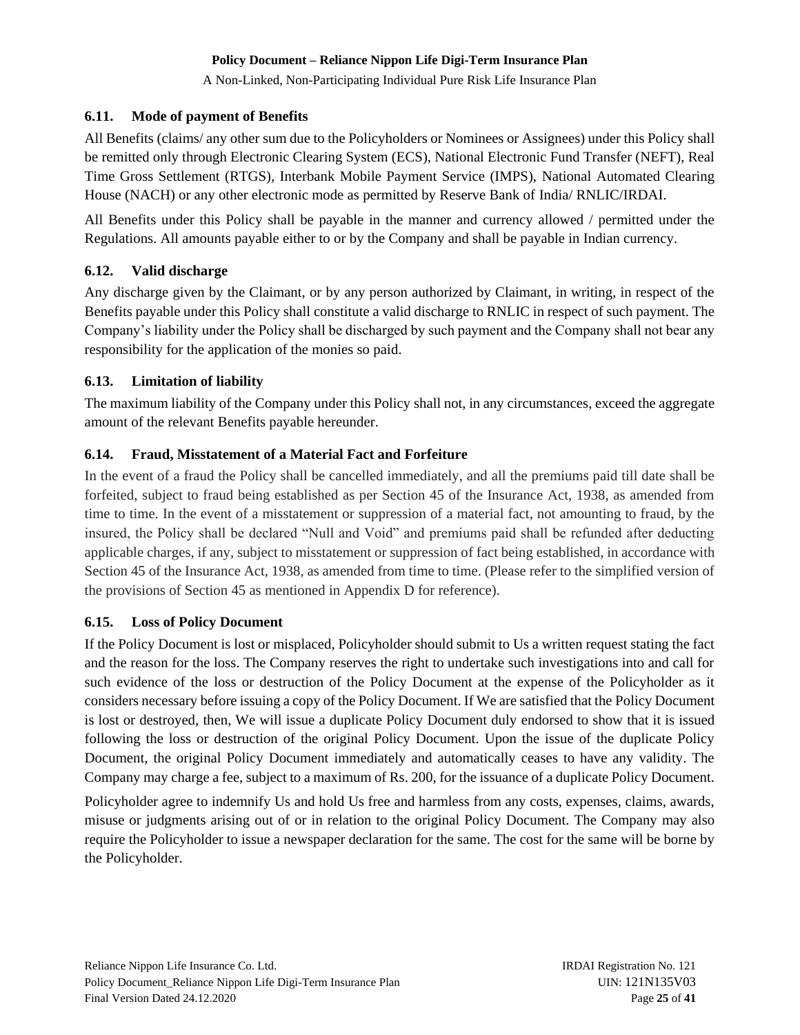A Non-Linked, Non-Participating Individual Pure Risk Life Insurance Plan

# <span id="page-24-0"></span>**6.11. Mode of payment of Benefits**

All Benefits (claims/ any other sum due to the Policyholders or Nominees or Assignees) under this Policy shall be remitted only through Electronic Clearing System (ECS), National Electronic Fund Transfer (NEFT), Real Time Gross Settlement (RTGS), Interbank Mobile Payment Service (IMPS), National Automated Clearing House (NACH) or any other electronic mode as permitted by Reserve Bank of India/ RNLIC/IRDAI.

All Benefits under this Policy shall be payable in the manner and currency allowed / permitted under the Regulations. All amounts payable either to or by the Company and shall be payable in Indian currency.

# <span id="page-24-1"></span>**6.12. Valid discharge**

Any discharge given by the Claimant, or by any person authorized by Claimant, in writing, in respect of the Benefits payable under this Policy shall constitute a valid discharge to RNLIC in respect of such payment. The Company's liability under the Policy shall be discharged by such payment and the Company shall not bear any responsibility for the application of the monies so paid.

# <span id="page-24-2"></span>**6.13. Limitation of liability**

The maximum liability of the Company under this Policy shall not, in any circumstances, exceed the aggregate amount of the relevant Benefits payable hereunder.

# <span id="page-24-3"></span>**6.14. Fraud, Misstatement of a Material Fact and Forfeiture**

In the event of a fraud the Policy shall be cancelled immediately, and all the premiums paid till date shall be forfeited, subject to fraud being established as per Section 45 of the Insurance Act, 1938, as amended from time to time. In the event of a misstatement or suppression of a material fact, not amounting to fraud, by the insured, the Policy shall be declared "Null and Void" and premiums paid shall be refunded after deducting applicable charges, if any, subject to misstatement or suppression of fact being established, in accordance with Section 45 of the Insurance Act, 1938, as amended from time to time. (Please refer to the simplified version of the provisions of Section 45 as mentioned in Appendix D for reference).

# <span id="page-24-4"></span>**6.15. Loss of Policy Document**

If the Policy Document is lost or misplaced, Policyholder should submit to Us a written request stating the fact and the reason for the loss. The Company reserves the right to undertake such investigations into and call for such evidence of the loss or destruction of the Policy Document at the expense of the Policyholder as it considers necessary before issuing a copy of the Policy Document. If We are satisfied that the Policy Document is lost or destroyed, then, We will issue a duplicate Policy Document duly endorsed to show that it is issued following the loss or destruction of the original Policy Document. Upon the issue of the duplicate Policy Document, the original Policy Document immediately and automatically ceases to have any validity. The Company may charge a fee, subject to a maximum of Rs. 200, for the issuance of a duplicate Policy Document.

Policyholder agree to indemnify Us and hold Us free and harmless from any costs, expenses, claims, awards, misuse or judgments arising out of or in relation to the original Policy Document. The Company may also require the Policyholder to issue a newspaper declaration for the same. The cost for the same will be borne by the Policyholder.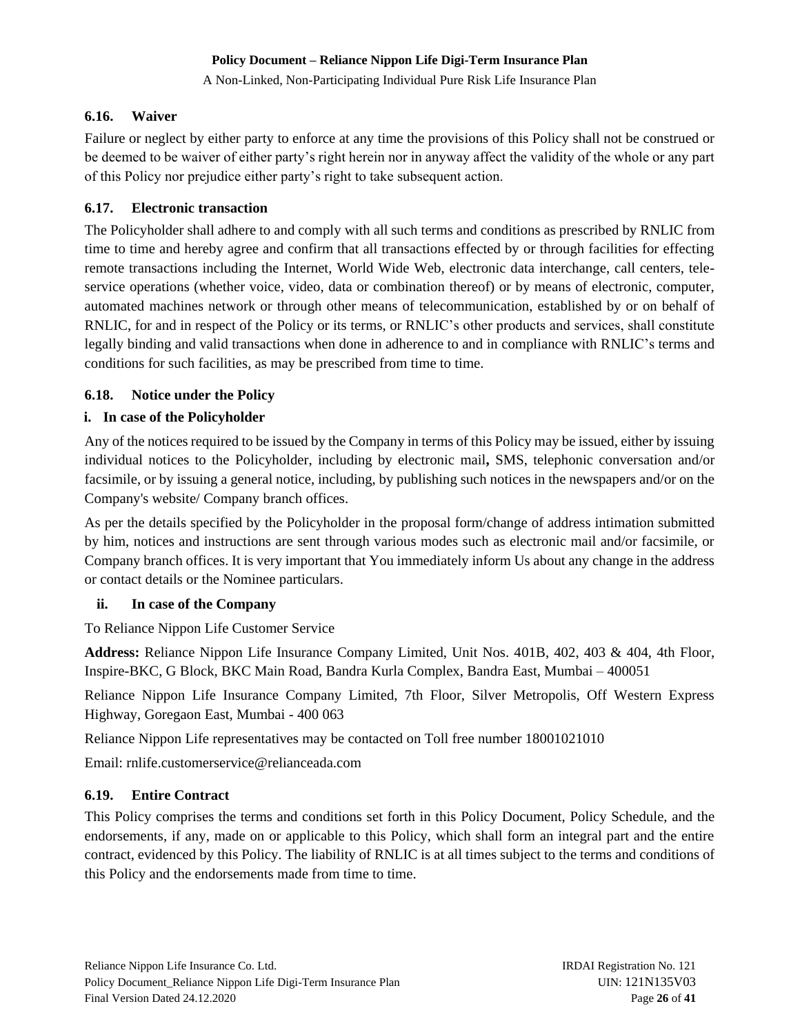A Non-Linked, Non-Participating Individual Pure Risk Life Insurance Plan

### <span id="page-25-0"></span>**6.16. Waiver**

Failure or neglect by either party to enforce at any time the provisions of this Policy shall not be construed or be deemed to be waiver of either party's right herein nor in anyway affect the validity of the whole or any part of this Policy nor prejudice either party's right to take subsequent action.

### <span id="page-25-1"></span>**6.17. Electronic transaction**

The Policyholder shall adhere to and comply with all such terms and conditions as prescribed by RNLIC from time to time and hereby agree and confirm that all transactions effected by or through facilities for effecting remote transactions including the Internet, World Wide Web, electronic data interchange, call centers, teleservice operations (whether voice, video, data or combination thereof) or by means of electronic, computer, automated machines network or through other means of telecommunication, established by or on behalf of RNLIC, for and in respect of the Policy or its terms, or RNLIC's other products and services, shall constitute legally binding and valid transactions when done in adherence to and in compliance with RNLIC's terms and conditions for such facilities, as may be prescribed from time to time.

# <span id="page-25-2"></span>**6.18. Notice under the Policy**

# **i. In case of the Policyholder**

Any of the notices required to be issued by the Company in terms of this Policy may be issued, either by issuing individual notices to the Policyholder, including by electronic mail**,** SMS, telephonic conversation and/or facsimile, or by issuing a general notice, including, by publishing such notices in the newspapers and/or on the Company's website/ Company branch offices.

As per the details specified by the Policyholder in the proposal form/change of address intimation submitted by him, notices and instructions are sent through various modes such as electronic mail and/or facsimile, or Company branch offices. It is very important that You immediately inform Us about any change in the address or contact details or the Nominee particulars.

# **ii. In case of the Company**

To Reliance Nippon Life Customer Service

**Address:** Reliance Nippon Life Insurance Company Limited, Unit Nos. 401B, 402, 403 & 404, 4th Floor, Inspire-BKC, G Block, BKC Main Road, Bandra Kurla Complex, Bandra East, Mumbai – 400051

Reliance Nippon Life Insurance Company Limited, 7th Floor, Silver Metropolis, Off Western Express Highway, Goregaon East, Mumbai - 400 063

Reliance Nippon Life representatives may be contacted on Toll free number 18001021010

Email: rnlif[e.customerservice@relianceada.com](mailto:.customerservice@relianceada.com)

# <span id="page-25-3"></span>**6.19. Entire Contract**

This Policy comprises the terms and conditions set forth in this Policy Document, Policy Schedule, and the endorsements, if any, made on or applicable to this Policy, which shall form an integral part and the entire contract, evidenced by this Policy. The liability of RNLIC is at all times subject to the terms and conditions of this Policy and the endorsements made from time to time.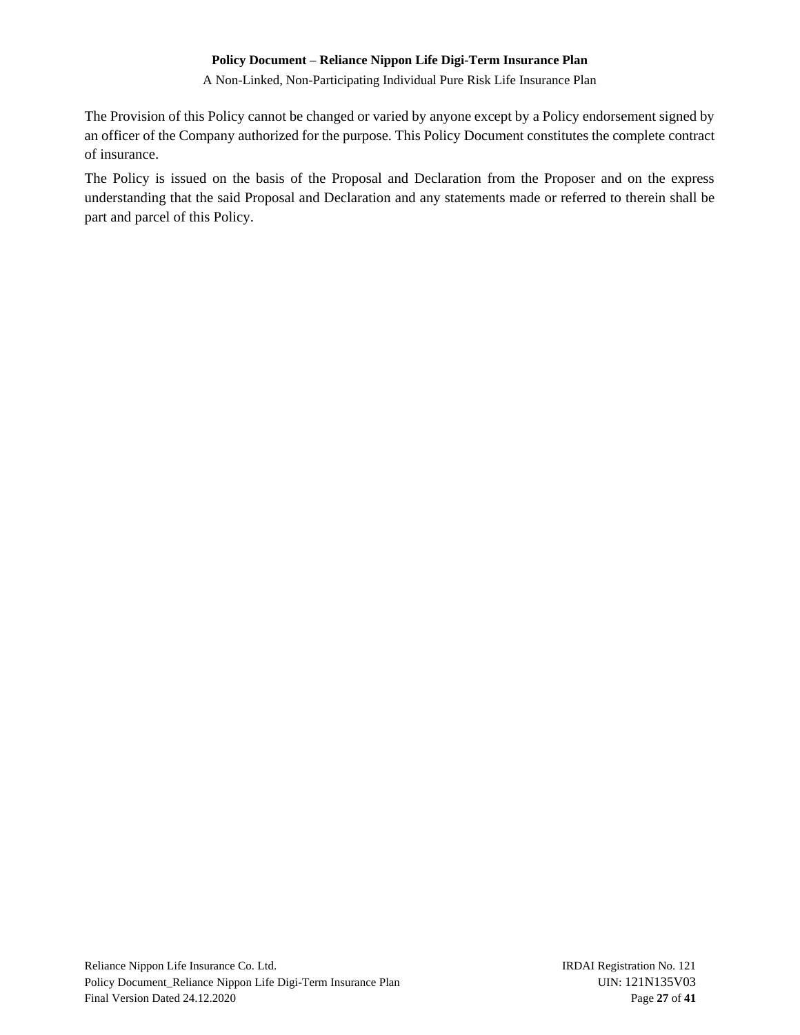A Non-Linked, Non-Participating Individual Pure Risk Life Insurance Plan

The Provision of this Policy cannot be changed or varied by anyone except by a Policy endorsement signed by an officer of the Company authorized for the purpose. This Policy Document constitutes the complete contract of insurance.

The Policy is issued on the basis of the Proposal and Declaration from the Proposer and on the express understanding that the said Proposal and Declaration and any statements made or referred to therein shall be part and parcel of this Policy.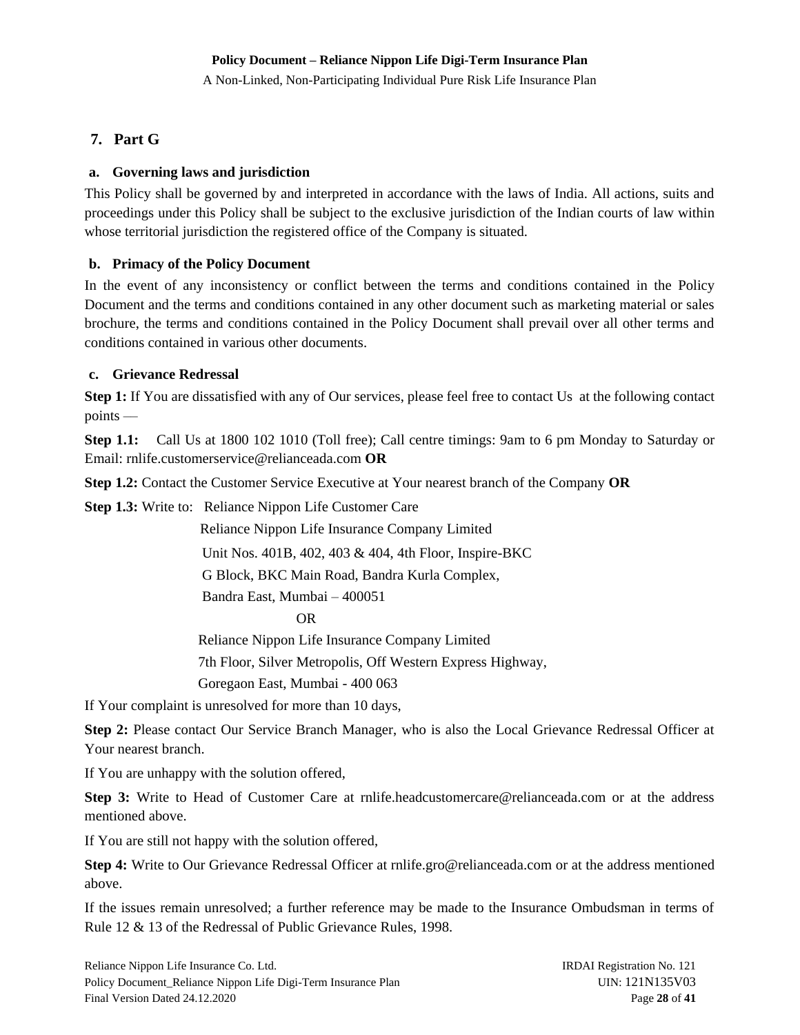A Non-Linked, Non-Participating Individual Pure Risk Life Insurance Plan

# <span id="page-27-0"></span>**7. Part G**

# <span id="page-27-1"></span>**a. Governing laws and jurisdiction**

This Policy shall be governed by and interpreted in accordance with the laws of India. All actions, suits and proceedings under this Policy shall be subject to the exclusive jurisdiction of the Indian courts of law within whose territorial jurisdiction the registered office of the Company is situated.

# <span id="page-27-2"></span>**b. Primacy of the Policy Document**

In the event of any inconsistency or conflict between the terms and conditions contained in the Policy Document and the terms and conditions contained in any other document such as marketing material or sales brochure, the terms and conditions contained in the Policy Document shall prevail over all other terms and conditions contained in various other documents.

# <span id="page-27-3"></span>**c. Grievance Redressal**

**Step 1:** If You are dissatisfied with any of Our services, please feel free to contact Us at the following contact points ––

**Step 1.1:** Call Us at 1800 102 1010 (Toll free); Call centre timings: 9am to 6 pm Monday to Saturday or Email: rnlife.customerservice@relianceada.com **OR**

**Step 1.2:** Contact the Customer Service Executive at Your [nearest branch](http://www.reliancelife.com/rlic/Contactus/BranchLocator/BranchLocator.aspx) of the Company **OR**

**Step 1.3:** Write to: Reliance Nippon Life Customer Care

Reliance Nippon Life Insurance Company Limited

Unit Nos. 401B, 402, 403 & 404, 4th Floor, Inspire-BKC

G Block, BKC Main Road, Bandra Kurla Complex,

Bandra East, Mumbai – 400051

OR

Reliance Nippon Life Insurance Company Limited

7th Floor, Silver Metropolis, Off Western Express Highway,

Goregaon East, Mumbai - 400 063

If Your complaint is unresolved for more than 10 days,

**Step 2:** Please contact Our Service Branch Manager, who is also the Local Grievance Redressal Officer at Your nearest branch.

If You are unhappy with the solution offered,

**Step 3:** Write to Head of Customer Care at rnlife.headcustomercare@relianceada.com or at the address mentioned above.

If You are still not happy with the solution offered,

**Step 4:** Write to Our Grievance Redressal Officer at rnlife.gro@relianceada.com or at the address mentioned above.

If the issues remain unresolved; a further reference may be made to the Insurance Ombudsman in terms of Rule 12 & 13 of the Redressal of Public Grievance Rules, 1998.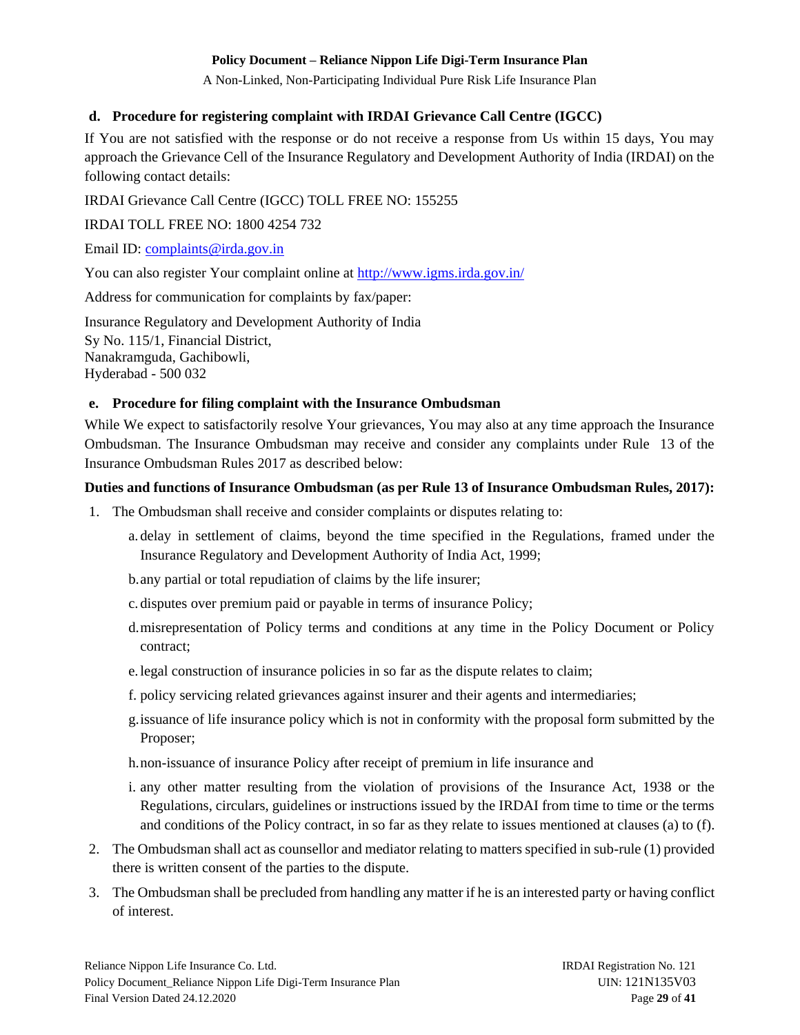A Non-Linked, Non-Participating Individual Pure Risk Life Insurance Plan

### <span id="page-28-0"></span>**d. Procedure for registering complaint with IRDAI Grievance Call Centre (IGCC)**

If You are not satisfied with the response or do not receive a response from Us within 15 days, You may approach the Grievance Cell of the Insurance Regulatory and Development Authority of India (IRDAI) on the following contact details:

IRDAI Grievance Call Centre (IGCC) TOLL FREE NO: 155255

IRDAI TOLL FREE NO: 1800 4254 732

Email ID: [complaints@irda.gov.in](mailto:complaints@irda.gov.in)

You can also register Your complaint online at<http://www.igms.irda.gov.in/>

Address for communication for complaints by fax/paper:

Insurance Regulatory and Development Authority of India Sy No. 115/1, Financial District, Nanakramguda, Gachibowli, Hyderabad - 500 032

### <span id="page-28-1"></span>**e. Procedure for filing complaint with the Insurance Ombudsman**

While We expect to satisfactorily resolve Your grievances, You may also at any time approach the Insurance Ombudsman. The Insurance Ombudsman may receive and consider any complaints under Rule 13 of the Insurance Ombudsman Rules 2017 as described below:

### **Duties and functions of Insurance Ombudsman (as per Rule 13 of Insurance Ombudsman Rules, 2017):**

- 1. The Ombudsman shall receive and consider complaints or disputes relating to:
	- a. delay in settlement of claims, beyond the time specified in the Regulations, framed under the Insurance Regulatory and Development Authority of India Act, 1999;
	- b.any partial or total repudiation of claims by the life insurer;
	- c. disputes over premium paid or payable in terms of insurance Policy;
	- d.misrepresentation of Policy terms and conditions at any time in the Policy Document or Policy contract;
	- e.legal construction of insurance policies in so far as the dispute relates to claim;
	- f. policy servicing related grievances against insurer and their agents and intermediaries;
	- g.issuance of life insurance policy which is not in conformity with the proposal form submitted by the Proposer;
	- h.non-issuance of insurance Policy after receipt of premium in life insurance and
	- i. any other matter resulting from the violation of provisions of the Insurance Act, 1938 or the Regulations, circulars, guidelines or instructions issued by the IRDAI from time to time or the terms and conditions of the Policy contract, in so far as they relate to issues mentioned at clauses (a) to (f).
- 2. The Ombudsman shall act as counsellor and mediator relating to matters specified in sub-rule (1) provided there is written consent of the parties to the dispute.
- 3. The Ombudsman shall be precluded from handling any matter if he is an interested party or having conflict of interest.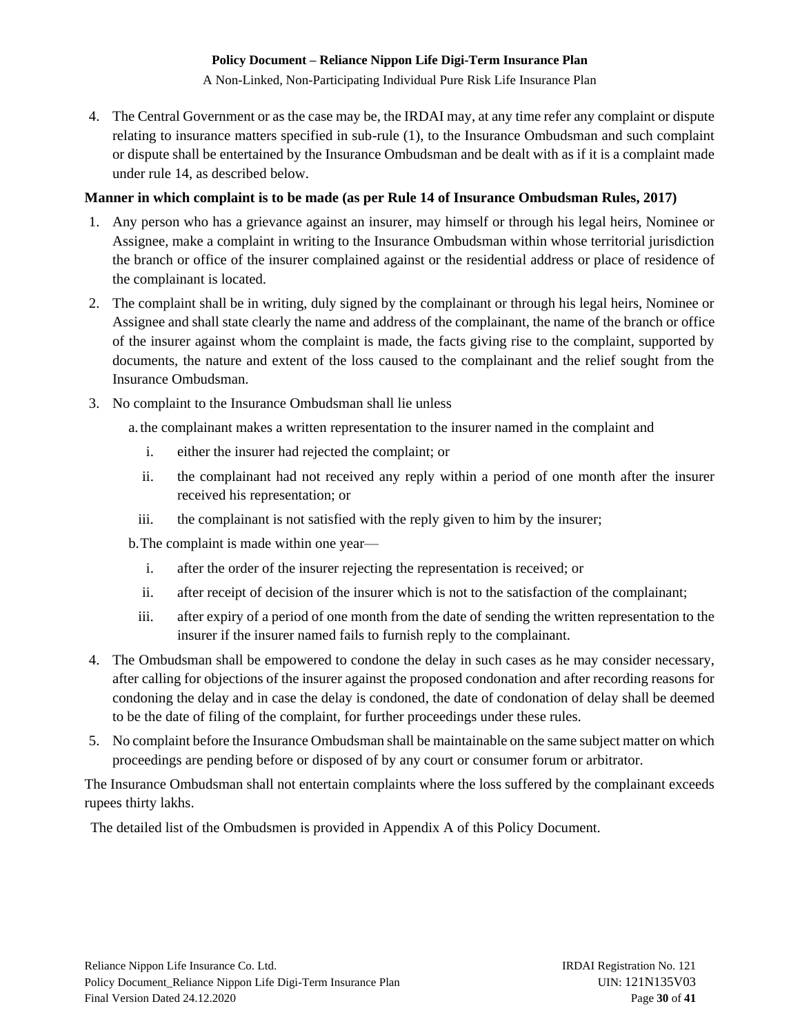A Non-Linked, Non-Participating Individual Pure Risk Life Insurance Plan

4. The Central Government or as the case may be, the IRDAI may, at any time refer any complaint or dispute relating to insurance matters specified in sub-rule (1), to the Insurance Ombudsman and such complaint or dispute shall be entertained by the Insurance Ombudsman and be dealt with as if it is a complaint made under rule 14, as described below.

# **Manner in which complaint is to be made (as per Rule 14 of Insurance Ombudsman Rules, 2017)**

- 1. Any person who has a grievance against an insurer, may himself or through his legal heirs, Nominee or Assignee, make a complaint in writing to the Insurance Ombudsman within whose territorial jurisdiction the branch or office of the insurer complained against or the residential address or place of residence of the complainant is located.
- 2. The complaint shall be in writing, duly signed by the complainant or through his legal heirs, Nominee or Assignee and shall state clearly the name and address of the complainant, the name of the branch or office of the insurer against whom the complaint is made, the facts giving rise to the complaint, supported by documents, the nature and extent of the loss caused to the complainant and the relief sought from the Insurance Ombudsman.
- 3. No complaint to the Insurance Ombudsman shall lie unless

a.the complainant makes a written representation to the insurer named in the complaint and

- i. either the insurer had rejected the complaint; or
- ii. the complainant had not received any reply within a period of one month after the insurer received his representation; or
- iii. the complainant is not satisfied with the reply given to him by the insurer;

b.The complaint is made within one year—

- i. after the order of the insurer rejecting the representation is received; or
- ii. after receipt of decision of the insurer which is not to the satisfaction of the complainant;
- iii. after expiry of a period of one month from the date of sending the written representation to the insurer if the insurer named fails to furnish reply to the complainant.
- 4. The Ombudsman shall be empowered to condone the delay in such cases as he may consider necessary, after calling for objections of the insurer against the proposed condonation and after recording reasons for condoning the delay and in case the delay is condoned, the date of condonation of delay shall be deemed to be the date of filing of the complaint, for further proceedings under these rules.
- 5. No complaint before the Insurance Ombudsman shall be maintainable on the same subject matter on which proceedings are pending before or disposed of by any court or consumer forum or arbitrator.

The Insurance Ombudsman shall not entertain complaints where the loss suffered by the complainant exceeds rupees thirty lakhs.

The detailed list of the Ombudsmen is provided in Appendix A of this Policy Document.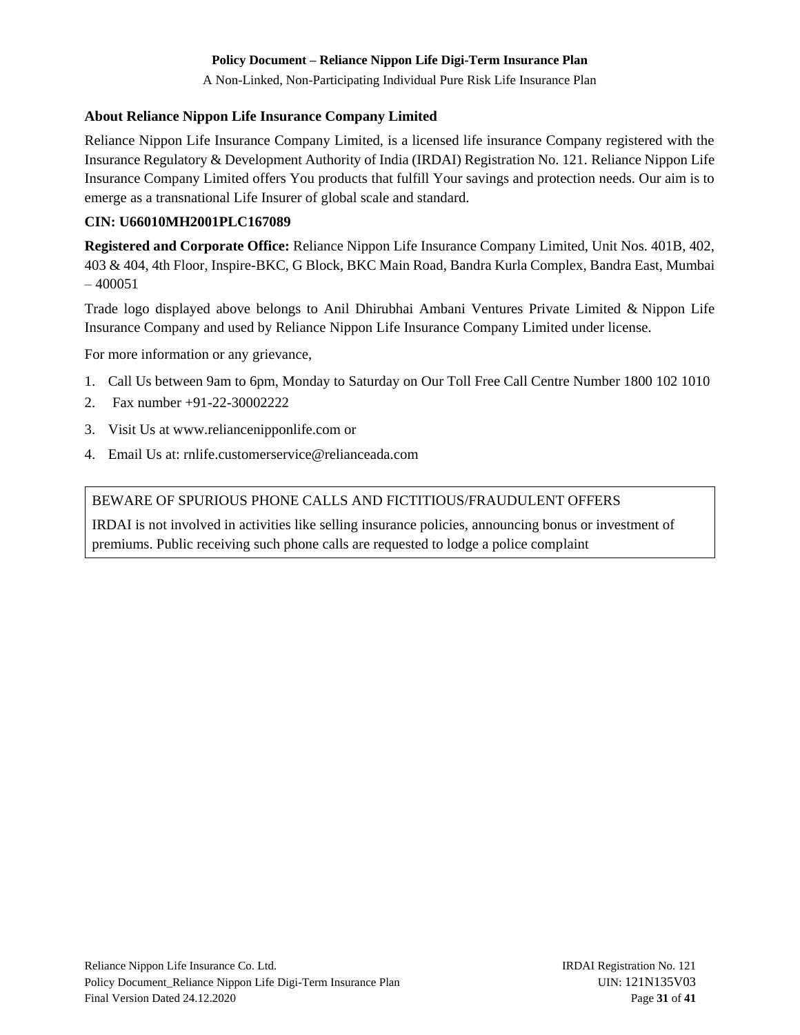A Non-Linked, Non-Participating Individual Pure Risk Life Insurance Plan

### **About Reliance Nippon Life Insurance Company Limited**

Reliance Nippon Life Insurance Company Limited, is a licensed life insurance Company registered with the Insurance Regulatory & Development Authority of India (IRDAI) Registration No. 121. Reliance Nippon Life Insurance Company Limited offers You products that fulfill Your savings and protection needs. Our aim is to emerge as a transnational Life Insurer of global scale and standard.

# **CIN: U66010MH2001PLC167089**

**Registered and Corporate Office:** Reliance Nippon Life Insurance Company Limited, Unit Nos. 401B, 402, 403 & 404, 4th Floor, Inspire-BKC, G Block, BKC Main Road, Bandra Kurla Complex, Bandra East, Mumbai  $-400051$ 

Trade logo displayed above belongs to Anil Dhirubhai Ambani Ventures Private Limited & Nippon Life Insurance Company and used by Reliance Nippon Life Insurance Company Limited under license.

For more information or any grievance,

- 1. Call Us between 9am to 6pm, Monday to Saturday on Our Toll Free Call Centre Number 1800 102 1010
- 2. Fax number +91-22-30002222
- 3. Visit Us at www.reliancenipponlife.com or
- 4. Email Us at: rnlife.customerservice@relianceada.com

# BEWARE OF SPURIOUS PHONE CALLS AND FICTITIOUS/FRAUDULENT OFFERS

IRDAI is not involved in activities like selling insurance policies, announcing bonus or investment of premiums. Public receiving such phone calls are requested to lodge a police complaint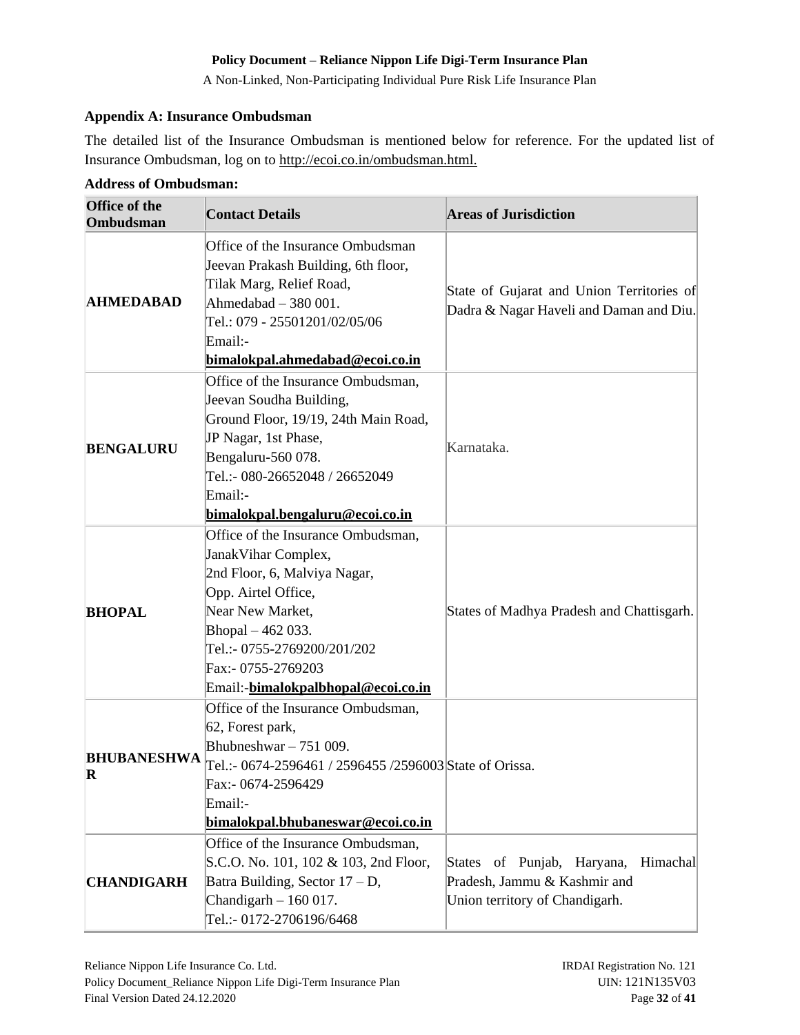A Non-Linked, Non-Participating Individual Pure Risk Life Insurance Plan

### <span id="page-31-0"></span>**Appendix A: Insurance Ombudsman**

The detailed list of the Insurance Ombudsman is mentioned below for reference. For the updated list of Insurance Ombudsman, log on to http://ecoi.co.in/ombudsman.html.

| <b>Office of the</b><br><b>Ombudsman</b> | <b>Contact Details</b>                                                                                                                                                                                                                                | <b>Areas of Jurisdiction</b>                                                                                |
|------------------------------------------|-------------------------------------------------------------------------------------------------------------------------------------------------------------------------------------------------------------------------------------------------------|-------------------------------------------------------------------------------------------------------------|
| <b>AHMEDABAD</b>                         | Office of the Insurance Ombudsman<br>Jeevan Prakash Building, 6th floor,<br>Tilak Marg, Relief Road,<br>Ahmedabad - 380 001.<br>Tel.: 079 - 25501201/02/05/06<br>Email:-<br>bimalokpal.ahmedabad@ecoi.co.in                                           | State of Gujarat and Union Territories of<br>Dadra & Nagar Haveli and Daman and Diu.                        |
| <b>BENGALURU</b>                         | Office of the Insurance Ombudsman,<br>Jeevan Soudha Building,<br>Ground Floor, 19/19, 24th Main Road,<br>JP Nagar, 1st Phase,<br>Bengaluru-560 078.<br>Tel.:- 080-26652048 / 26652049<br>Email:-<br>bimalokpal.bengaluru@ecoi.co.in                   | Karnataka.                                                                                                  |
| <b>BHOPAL</b>                            | Office of the Insurance Ombudsman,<br>Janak Vihar Complex,<br>2nd Floor, 6, Malviya Nagar,<br>Opp. Airtel Office,<br>Near New Market,<br>Bhopal - 462 033.<br>Tel.:- 0755-2769200/201/202<br>Fax:- 0755-2769203<br>Email:-bimalokpalbhopal@ecoi.co.in | States of Madhya Pradesh and Chattisgarh.                                                                   |
| <b>BHUBANESHWA</b><br>R                  | Office of the Insurance Ombudsman,<br>62, Forest park,<br>Bhubneshwar $-751009$ .<br>Tel.:- 0674-2596461 / 2596455 /2596003 State of Orissa.<br>Fax:- 0674-2596429<br>Email:-<br>bimalokpal.bhubaneswar@ecoi.co.in                                    |                                                                                                             |
| <b>CHANDIGARH</b>                        | Office of the Insurance Ombudsman,<br>S.C.O. No. 101, 102 & 103, 2nd Floor,<br>Batra Building, Sector $17 - D$ ,<br>Chandigarh $-160017$ .<br>Tel.:- 0172-2706196/6468                                                                                | Himachal<br>States of Punjab,<br>Haryana,<br>Pradesh, Jammu & Kashmir and<br>Union territory of Chandigarh. |

#### **Address of Ombudsman:**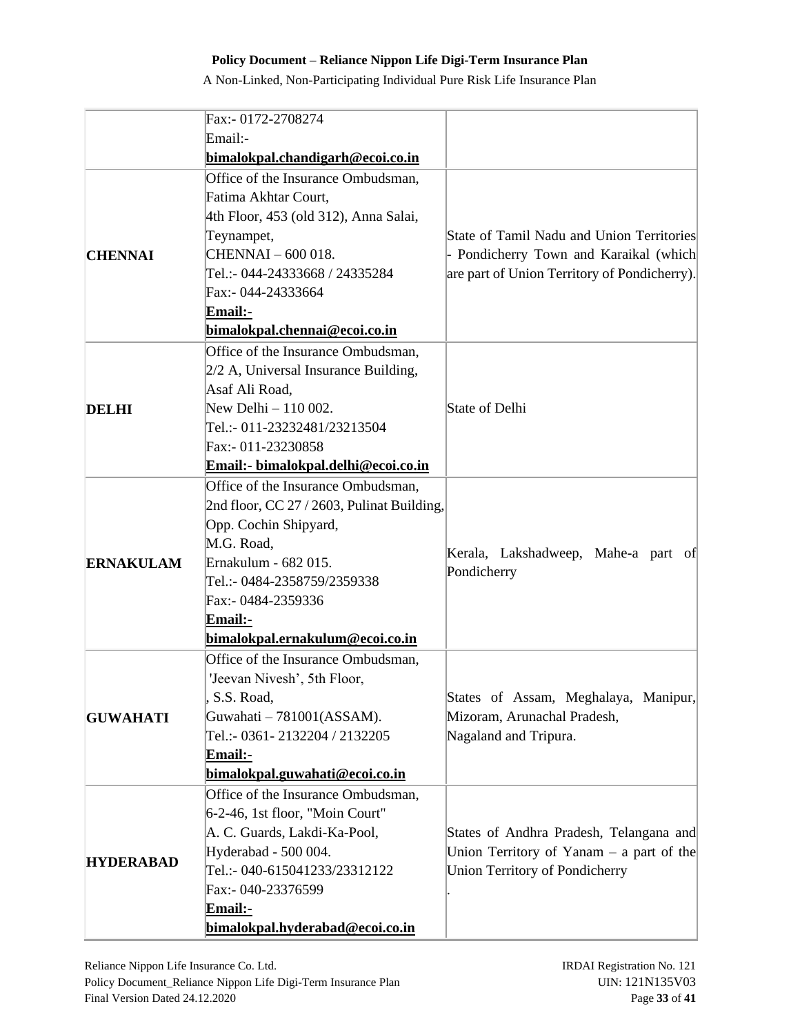|                  | Fax:- 0172-2708274                                                                                                                                                                                                                                                                                                          |                                                                                                                                     |
|------------------|-----------------------------------------------------------------------------------------------------------------------------------------------------------------------------------------------------------------------------------------------------------------------------------------------------------------------------|-------------------------------------------------------------------------------------------------------------------------------------|
|                  | Email:-                                                                                                                                                                                                                                                                                                                     |                                                                                                                                     |
|                  | bimalokpal.chandigarh@ecoi.co.in                                                                                                                                                                                                                                                                                            |                                                                                                                                     |
| <b>CHENNAI</b>   | Office of the Insurance Ombudsman,<br>Fatima Akhtar Court,<br>4th Floor, 453 (old 312), Anna Salai,<br>Teynampet,<br>CHENNAI - 600 018.<br>Tel.:- 044-24333668 / 24335284<br>Fax:- 044-24333664<br>Email:-<br>bimalokpal.chennai@ecoi.co.in<br>Office of the Insurance Ombudsman,<br>$2/2$ A, Universal Insurance Building, | State of Tamil Nadu and Union Territories<br>- Pondicherry Town and Karaikal (which<br>are part of Union Territory of Pondicherry). |
| <b>DELHI</b>     | Asaf Ali Road,<br>New Delhi - 110 002.<br>Tel.:- 011-23232481/23213504<br>Fax:- 011-23230858<br>Email:- bimalokpal.delhi@ecoi.co.in                                                                                                                                                                                         | State of Delhi                                                                                                                      |
| <b>ERNAKULAM</b> | Office of the Insurance Ombudsman,<br>2nd floor, CC 27 / 2603, Pulinat Building,<br>Opp. Cochin Shipyard,<br>M.G. Road,<br>Ernakulum - 682 015.<br>Tel.:- 0484-2358759/2359338<br>Fax:- 0484-2359336<br>Email:-<br>bimalokpal.ernakulum@ecoi.co.in                                                                          | Kerala, Lakshadweep, Mahe-a part of<br>Pondicherry                                                                                  |
| <b>GUWAHATI</b>  | Office of the Insurance Ombudsman,<br>'Jeevan Nivesh', 5th Floor,<br>S.S. Road,<br>Guwahati - 781001(ASSAM).<br>Tel.:- 0361-2132204 / 2132205<br>Email:-<br>bimalokpal.guwahati@ecoi.co.in                                                                                                                                  | States of Assam, Meghalaya, Manipur,<br>Mizoram, Arunachal Pradesh,<br>Nagaland and Tripura.                                        |
| <b>HYDERABAD</b> | Office of the Insurance Ombudsman,<br>6-2-46, 1st floor, "Moin Court"<br>A. C. Guards, Lakdi-Ka-Pool,<br>Hyderabad - 500 004.<br>Tel.:- 040-615041233/23312122<br>Fax:- 040-23376599<br>Email:-<br>bimalokpal.hyderabad@ecoi.co.in                                                                                          | States of Andhra Pradesh, Telangana and<br>Union Territory of Yanam $-$ a part of the<br>Union Territory of Pondicherry             |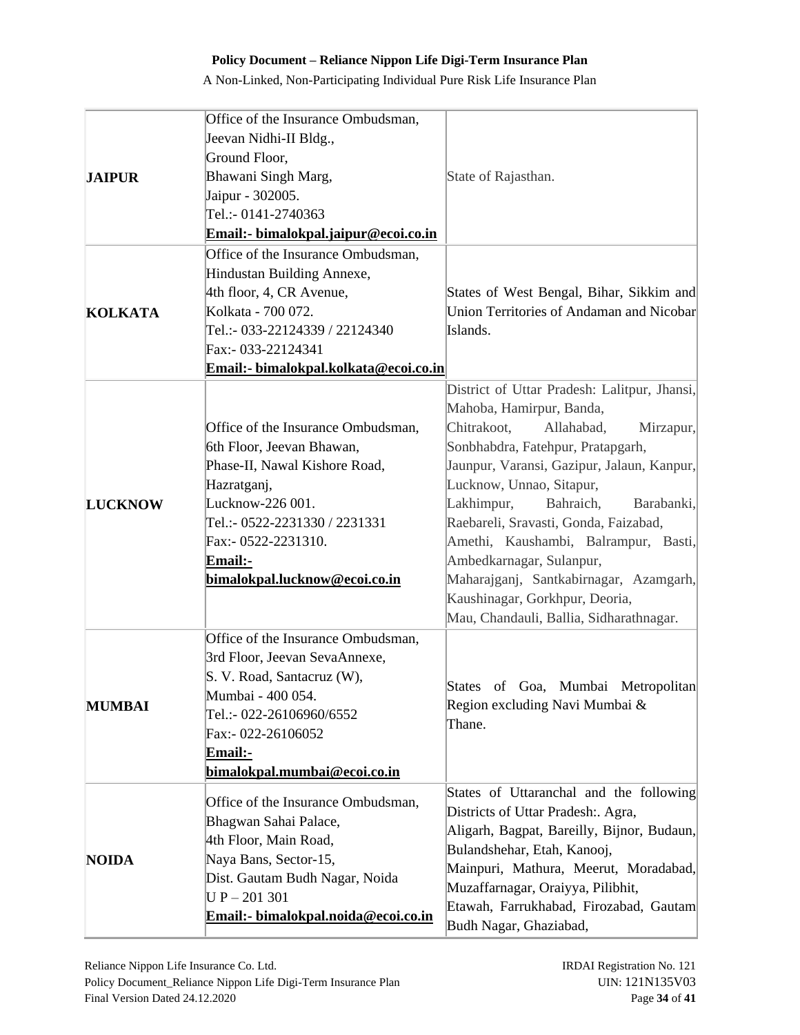|                | Office of the Insurance Ombudsman,           |                                                 |
|----------------|----------------------------------------------|-------------------------------------------------|
| <b>JAIPUR</b>  | Jeevan Nidhi-II Bldg.,                       |                                                 |
|                | Ground Floor,                                |                                                 |
|                | Bhawani Singh Marg,                          | State of Rajasthan.                             |
|                | Jaipur - 302005.                             |                                                 |
|                | Tel.:- 0141-2740363                          |                                                 |
|                | <u> Email:- bimalokpal.jaipur@ecoi.co.in</u> |                                                 |
|                | Office of the Insurance Ombudsman,           |                                                 |
|                | Hindustan Building Annexe,                   |                                                 |
|                | 4th floor, 4, CR Avenue,                     | States of West Bengal, Bihar, Sikkim and        |
| <b>KOLKATA</b> | Kolkata - 700 072.                           | Union Territories of Andaman and Nicobar        |
|                | Tel.:- 033-22124339 / 22124340               | Islands.                                        |
|                | Fax:- 033-22124341                           |                                                 |
|                | Email:- bimalokpal.kolkata@ecoi.co.in        |                                                 |
|                |                                              |                                                 |
|                |                                              | District of Uttar Pradesh: Lalitpur, Jhansi,    |
|                |                                              | Mahoba, Hamirpur, Banda,                        |
|                | Office of the Insurance Ombudsman,           | Chitrakoot,<br>Allahabad,<br>Mirzapur,          |
|                | 6th Floor, Jeevan Bhawan,                    | Sonbhabdra, Fatehpur, Pratapgarh,               |
|                | Phase-II, Nawal Kishore Road,                | Jaunpur, Varansi, Gazipur, Jalaun, Kanpur,      |
|                | Hazratganj,                                  | Lucknow, Unnao, Sitapur,                        |
| <b>LUCKNOW</b> | Lucknow-226 001.                             | Lakhimpur,<br>Bahraich,<br>Barabanki,           |
|                | Tel.:- 0522-2231330 / 2231331                | Raebareli, Sravasti, Gonda, Faizabad,           |
|                | Fax:- 0522-2231310.                          | Amethi, Kaushambi, Balrampur, Basti,            |
|                | Email:-                                      | Ambedkarnagar, Sulanpur,                        |
|                | bimalokpal.lucknow@ecoi.co.in                | Maharajganj, Santkabirnagar, Azamgarh,          |
|                |                                              | Kaushinagar, Gorkhpur, Deoria,                  |
|                |                                              | Mau, Chandauli, Ballia, Sidharathnagar.         |
|                | Office of the Insurance Ombudsman,           |                                                 |
|                | 3rd Floor, Jeevan SevaAnnexe,                |                                                 |
|                | S. V. Road, Santacruz (W),                   | <b>States</b><br>Mumbai Metropolitan<br>of Goa, |
| <b>MUMBAI</b>  | Mumbai - 400 054.                            | Region excluding Navi Mumbai &                  |
|                | Tel.:- 022-26106960/6552                     | Thane.                                          |
|                | Fax:- 022-26106052                           |                                                 |
|                | <u>Email:-</u>                               |                                                 |
|                | bimalokpal.mumbai@ecoi.co.in                 |                                                 |
|                |                                              | States of Uttaranchal and the following         |
|                | Office of the Insurance Ombudsman,           | Districts of Uttar Pradesh:. Agra,              |
|                | Bhagwan Sahai Palace,                        | Aligarh, Bagpat, Bareilly, Bijnor, Budaun,      |
|                | 4th Floor, Main Road,                        | Bulandshehar, Etah, Kanooj,                     |
| <b>NOIDA</b>   | Naya Bans, Sector-15,                        | Mainpuri, Mathura, Meerut, Moradabad,           |
|                | Dist. Gautam Budh Nagar, Noida               | Muzaffarnagar, Oraiyya, Pilibhit,               |
|                | $UP - 201301$                                | Etawah, Farrukhabad, Firozabad, Gautam          |
|                | Email:- bimalokpal.noida@ecoi.co.in          |                                                 |
|                |                                              | Budh Nagar, Ghaziabad,                          |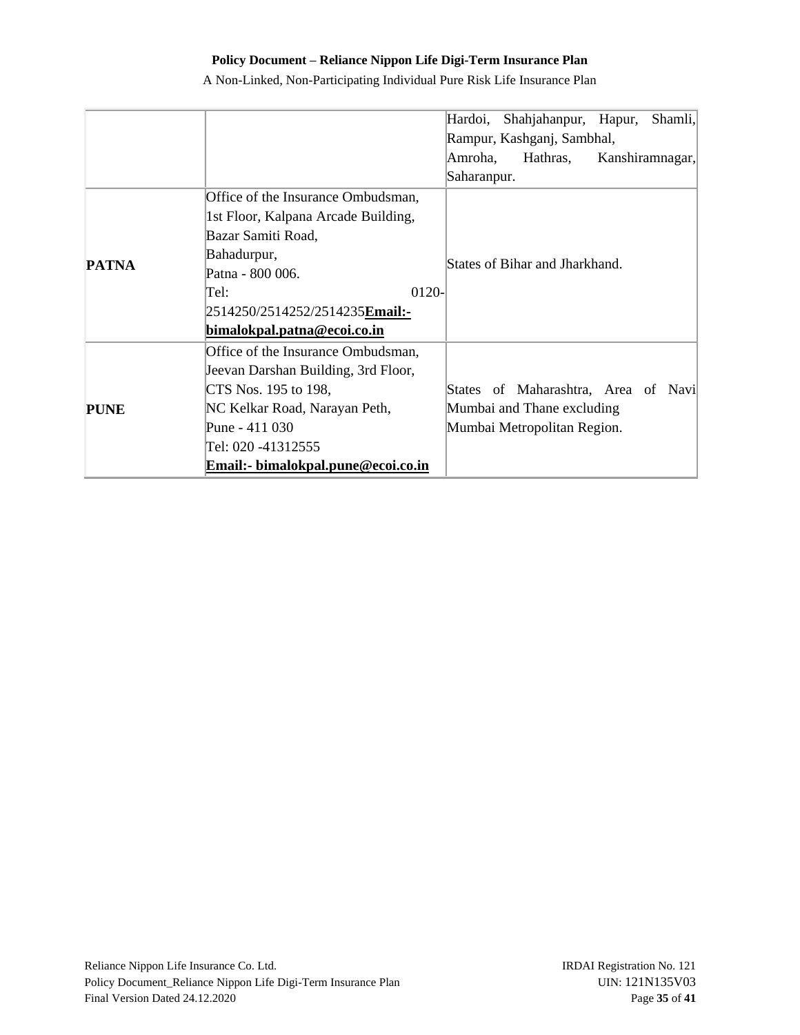|              |                                          | Hardoi,<br>Shahjahanpur, Hapur,<br>Shamli, |
|--------------|------------------------------------------|--------------------------------------------|
|              |                                          | Rampur, Kashganj, Sambhal,                 |
|              |                                          | Amroha,<br>Kanshiramnagar,<br>Hathras,     |
|              |                                          | Saharanpur.                                |
|              | Office of the Insurance Ombudsman,       |                                            |
|              | 1st Floor, Kalpana Arcade Building,      |                                            |
|              | Bazar Samiti Road,                       |                                            |
|              | Bahadurpur,                              | States of Bihar and Jharkhand.             |
| <b>PATNA</b> | Patna - 800 006.                         |                                            |
|              | 0120-<br>Tel:                            |                                            |
|              | 2514250/2514252/2514235 <b>Email:-</b>   |                                            |
|              | bimalokpal.patna@ecoi.co.in              |                                            |
|              | Office of the Insurance Ombudsman,       |                                            |
|              | Jeevan Darshan Building, 3rd Floor,      |                                            |
| <b>PUNE</b>  | CTS Nos. 195 to 198,                     | States of Maharashtra, Area of Navi        |
|              | NC Kelkar Road, Narayan Peth,            | Mumbai and Thane excluding                 |
|              | Pune - 411 030                           | Mumbai Metropolitan Region.                |
|              | Tel: 020 -41312555                       |                                            |
|              | <b>Email:</b> bimalokpal.pune@ecoi.co.in |                                            |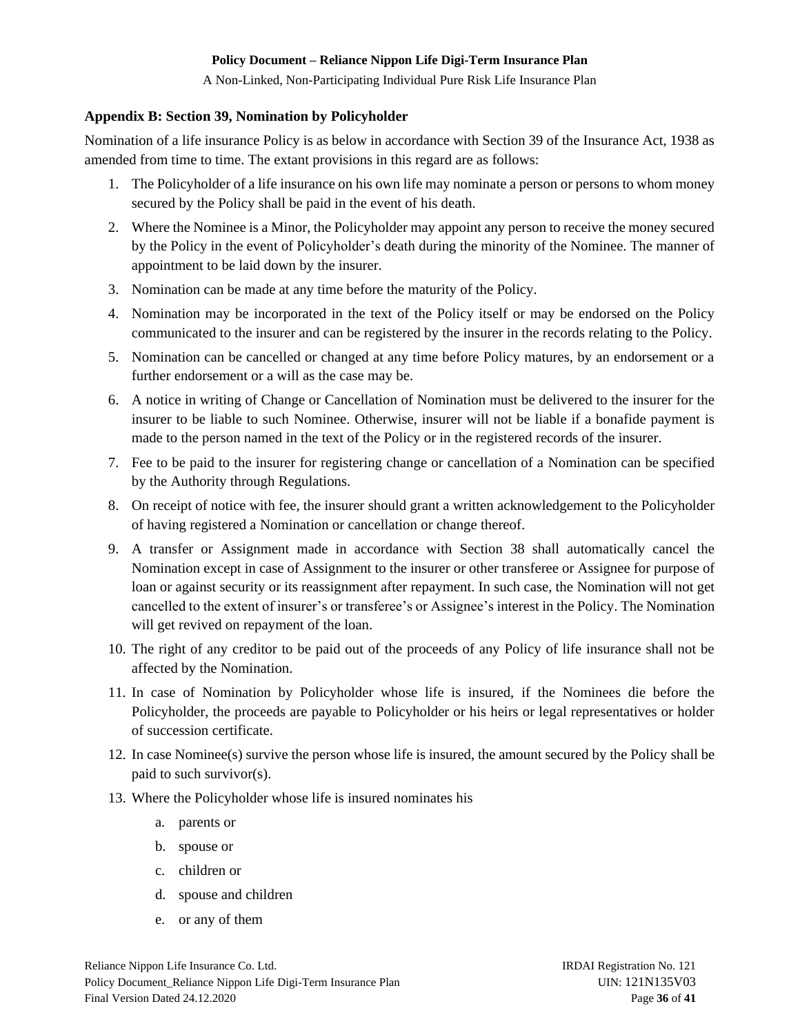A Non-Linked, Non-Participating Individual Pure Risk Life Insurance Plan

#### <span id="page-35-0"></span>**Appendix B: Section 39, Nomination by Policyholder**

Nomination of a life insurance Policy is as below in accordance with Section 39 of the Insurance Act, 1938 as amended from time to time. The extant provisions in this regard are as follows:

- 1. The Policyholder of a life insurance on his own life may nominate a person or persons to whom money secured by the Policy shall be paid in the event of his death.
- 2. Where the Nominee is a Minor, the Policyholder may appoint any person to receive the money secured by the Policy in the event of Policyholder's death during the minority of the Nominee. The manner of appointment to be laid down by the insurer.
- 3. Nomination can be made at any time before the maturity of the Policy.
- 4. Nomination may be incorporated in the text of the Policy itself or may be endorsed on the Policy communicated to the insurer and can be registered by the insurer in the records relating to the Policy.
- 5. Nomination can be cancelled or changed at any time before Policy matures, by an endorsement or a further endorsement or a will as the case may be.
- 6. A notice in writing of Change or Cancellation of Nomination must be delivered to the insurer for the insurer to be liable to such Nominee. Otherwise, insurer will not be liable if a bonafide payment is made to the person named in the text of the Policy or in the registered records of the insurer.
- 7. Fee to be paid to the insurer for registering change or cancellation of a Nomination can be specified by the Authority through Regulations.
- 8. On receipt of notice with fee, the insurer should grant a written acknowledgement to the Policyholder of having registered a Nomination or cancellation or change thereof.
- 9. A transfer or Assignment made in accordance with Section 38 shall automatically cancel the Nomination except in case of Assignment to the insurer or other transferee or Assignee for purpose of loan or against security or its reassignment after repayment. In such case, the Nomination will not get cancelled to the extent of insurer's or transferee's or Assignee's interest in the Policy. The Nomination will get revived on repayment of the loan.
- 10. The right of any creditor to be paid out of the proceeds of any Policy of life insurance shall not be affected by the Nomination.
- 11. In case of Nomination by Policyholder whose life is insured, if the Nominees die before the Policyholder, the proceeds are payable to Policyholder or his heirs or legal representatives or holder of succession certificate.
- 12. In case Nominee(s) survive the person whose life is insured, the amount secured by the Policy shall be paid to such survivor(s).
- 13. Where the Policyholder whose life is insured nominates his
	- a. parents or
	- b. spouse or
	- c. children or
	- d. spouse and children
	- e. or any of them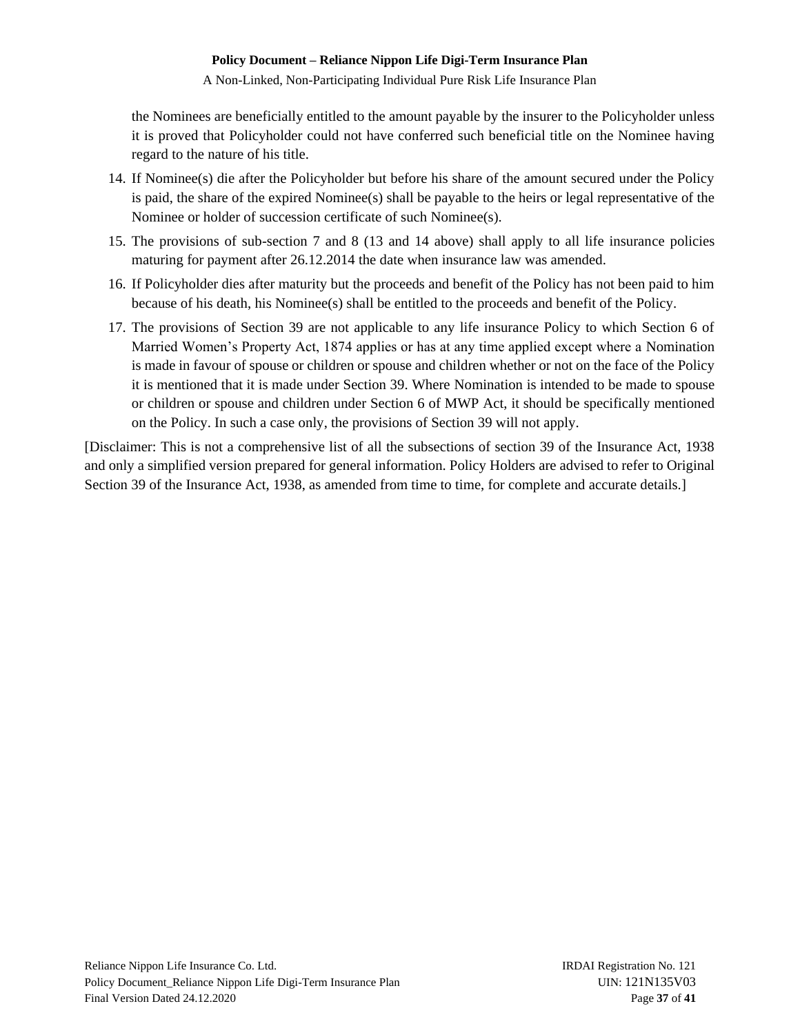A Non-Linked, Non-Participating Individual Pure Risk Life Insurance Plan

the Nominees are beneficially entitled to the amount payable by the insurer to the Policyholder unless it is proved that Policyholder could not have conferred such beneficial title on the Nominee having regard to the nature of his title.

- 14. If Nominee(s) die after the Policyholder but before his share of the amount secured under the Policy is paid, the share of the expired Nominee(s) shall be payable to the heirs or legal representative of the Nominee or holder of succession certificate of such Nominee(s).
- 15. The provisions of sub-section 7 and 8 (13 and 14 above) shall apply to all life insurance policies maturing for payment after 26.12.2014 the date when insurance law was amended.
- 16. If Policyholder dies after maturity but the proceeds and benefit of the Policy has not been paid to him because of his death, his Nominee(s) shall be entitled to the proceeds and benefit of the Policy.
- 17. The provisions of Section 39 are not applicable to any life insurance Policy to which Section 6 of Married Women's Property Act, 1874 applies or has at any time applied except where a Nomination is made in favour of spouse or children or spouse and children whether or not on the face of the Policy it is mentioned that it is made under Section 39. Where Nomination is intended to be made to spouse or children or spouse and children under Section 6 of MWP Act, it should be specifically mentioned on the Policy. In such a case only, the provisions of Section 39 will not apply.

[Disclaimer: This is not a comprehensive list of all the subsections of section 39 of the Insurance Act, 1938 and only a simplified version prepared for general information. Policy Holders are advised to refer to Original Section 39 of the Insurance Act, 1938, as amended from time to time, for complete and accurate details.]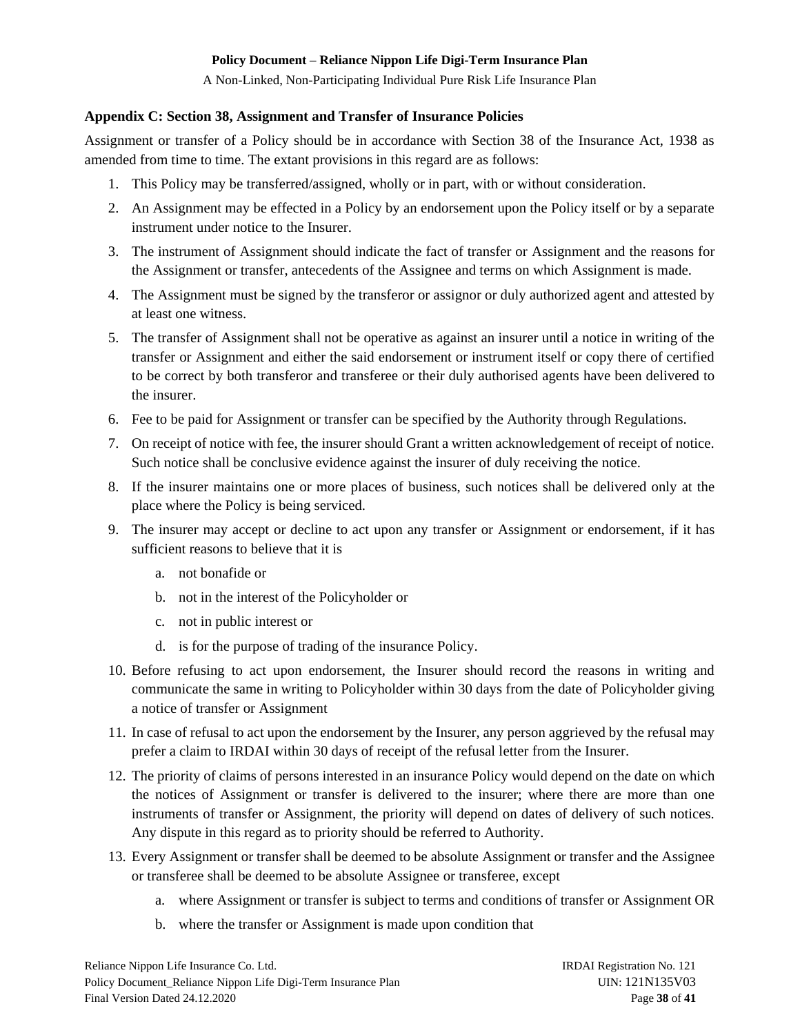A Non-Linked, Non-Participating Individual Pure Risk Life Insurance Plan

### <span id="page-37-0"></span>**Appendix C: Section 38, Assignment and Transfer of Insurance Policies**

Assignment or transfer of a Policy should be in accordance with Section 38 of the Insurance Act, 1938 as amended from time to time. The extant provisions in this regard are as follows:

- 1. This Policy may be transferred/assigned, wholly or in part, with or without consideration.
- 2. An Assignment may be effected in a Policy by an endorsement upon the Policy itself or by a separate instrument under notice to the Insurer.
- 3. The instrument of Assignment should indicate the fact of transfer or Assignment and the reasons for the Assignment or transfer, antecedents of the Assignee and terms on which Assignment is made.
- 4. The Assignment must be signed by the transferor or assignor or duly authorized agent and attested by at least one witness.
- 5. The transfer of Assignment shall not be operative as against an insurer until a notice in writing of the transfer or Assignment and either the said endorsement or instrument itself or copy there of certified to be correct by both transferor and transferee or their duly authorised agents have been delivered to the insurer.
- 6. Fee to be paid for Assignment or transfer can be specified by the Authority through Regulations.
- 7. On receipt of notice with fee, the insurer should Grant a written acknowledgement of receipt of notice. Such notice shall be conclusive evidence against the insurer of duly receiving the notice.
- 8. If the insurer maintains one or more places of business, such notices shall be delivered only at the place where the Policy is being serviced.
- 9. The insurer may accept or decline to act upon any transfer or Assignment or endorsement, if it has sufficient reasons to believe that it is
	- a. not bonafide or
	- b. not in the interest of the Policyholder or
	- c. not in public interest or
	- d. is for the purpose of trading of the insurance Policy.
- 10. Before refusing to act upon endorsement, the Insurer should record the reasons in writing and communicate the same in writing to Policyholder within 30 days from the date of Policyholder giving a notice of transfer or Assignment
- 11. In case of refusal to act upon the endorsement by the Insurer, any person aggrieved by the refusal may prefer a claim to IRDAI within 30 days of receipt of the refusal letter from the Insurer.
- 12. The priority of claims of persons interested in an insurance Policy would depend on the date on which the notices of Assignment or transfer is delivered to the insurer; where there are more than one instruments of transfer or Assignment, the priority will depend on dates of delivery of such notices. Any dispute in this regard as to priority should be referred to Authority.
- 13. Every Assignment or transfer shall be deemed to be absolute Assignment or transfer and the Assignee or transferee shall be deemed to be absolute Assignee or transferee, except
	- a. where Assignment or transfer is subject to terms and conditions of transfer or Assignment OR
	- b. where the transfer or Assignment is made upon condition that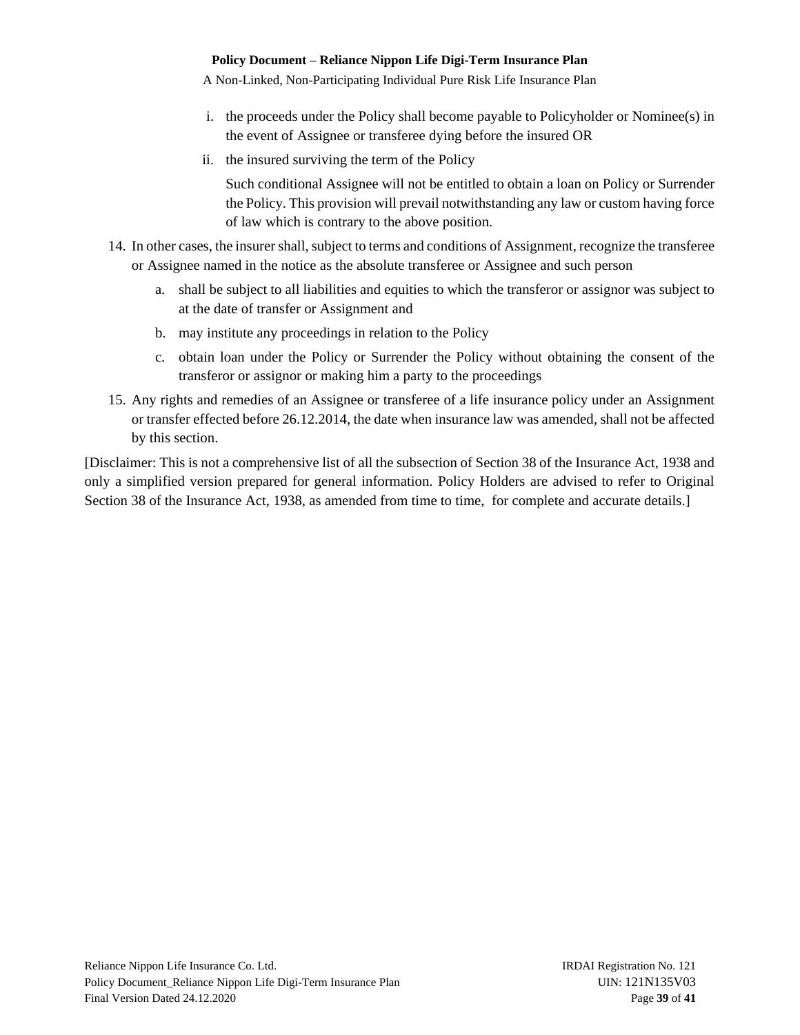A Non-Linked, Non-Participating Individual Pure Risk Life Insurance Plan

- i. the proceeds under the Policy shall become payable to Policyholder or Nominee(s) in the event of Assignee or transferee dying before the insured OR
- ii. the insured surviving the term of the Policy

Such conditional Assignee will not be entitled to obtain a loan on Policy or Surrender the Policy. This provision will prevail notwithstanding any law or custom having force of law which is contrary to the above position.

- 14. In other cases, the insurer shall, subject to terms and conditions of Assignment, recognize the transferee or Assignee named in the notice as the absolute transferee or Assignee and such person
	- a. shall be subject to all liabilities and equities to which the transferor or assignor was subject to at the date of transfer or Assignment and
	- b. may institute any proceedings in relation to the Policy
	- c. obtain loan under the Policy or Surrender the Policy without obtaining the consent of the transferor or assignor or making him a party to the proceedings
- 15. Any rights and remedies of an Assignee or transferee of a life insurance policy under an Assignment or transfer effected before 26.12.2014, the date when insurance law was amended, shall not be affected by this section.

[Disclaimer: This is not a comprehensive list of all the subsection of Section 38 of the Insurance Act, 1938 and only a simplified version prepared for general information. Policy Holders are advised to refer to Original Section 38 of the Insurance Act, 1938, as amended from time to time, for complete and accurate details.]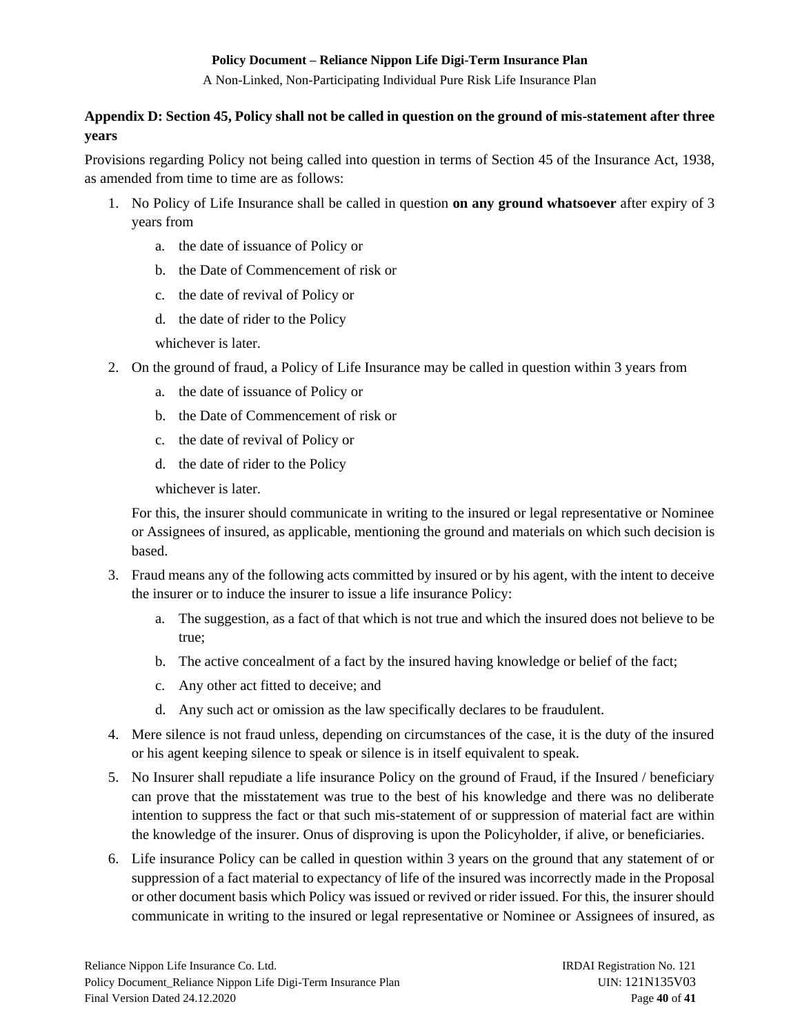A Non-Linked, Non-Participating Individual Pure Risk Life Insurance Plan

# <span id="page-39-0"></span>**Appendix D: Section 45, Policy shall not be called in question on the ground of mis-statement after three years**

Provisions regarding Policy not being called into question in terms of Section 45 of the Insurance Act, 1938, as amended from time to time are as follows:

- 1. No Policy of Life Insurance shall be called in question **on any ground whatsoever** after expiry of 3 years from
	- a. the date of issuance of Policy or
	- b. the Date of Commencement of risk or
	- c. the date of revival of Policy or
	- d. the date of rider to the Policy

whichever is later.

- 2. On the ground of fraud, a Policy of Life Insurance may be called in question within 3 years from
	- a. the date of issuance of Policy or
	- b. the Date of Commencement of risk or
	- c. the date of revival of Policy or
	- d. the date of rider to the Policy

whichever is later.

For this, the insurer should communicate in writing to the insured or legal representative or Nominee or Assignees of insured, as applicable, mentioning the ground and materials on which such decision is based.

- 3. Fraud means any of the following acts committed by insured or by his agent, with the intent to deceive the insurer or to induce the insurer to issue a life insurance Policy:
	- a. The suggestion, as a fact of that which is not true and which the insured does not believe to be true;
	- b. The active concealment of a fact by the insured having knowledge or belief of the fact;
	- c. Any other act fitted to deceive; and
	- d. Any such act or omission as the law specifically declares to be fraudulent.
- 4. Mere silence is not fraud unless, depending on circumstances of the case, it is the duty of the insured or his agent keeping silence to speak or silence is in itself equivalent to speak.
- 5. No Insurer shall repudiate a life insurance Policy on the ground of Fraud, if the Insured / beneficiary can prove that the misstatement was true to the best of his knowledge and there was no deliberate intention to suppress the fact or that such mis-statement of or suppression of material fact are within the knowledge of the insurer. Onus of disproving is upon the Policyholder, if alive, or beneficiaries.
- 6. Life insurance Policy can be called in question within 3 years on the ground that any statement of or suppression of a fact material to expectancy of life of the insured was incorrectly made in the Proposal or other document basis which Policy was issued or revived or rider issued. For this, the insurer should communicate in writing to the insured or legal representative or Nominee or Assignees of insured, as